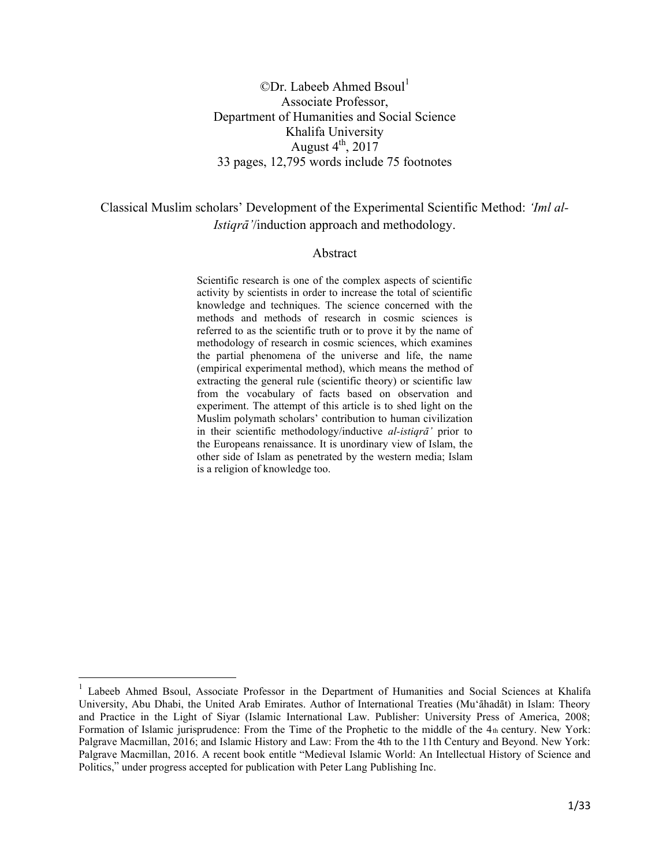# $\mathbb{O}$ Dr. Labeeb Ahmed Bsoul<sup>1</sup> Associate Professor, Department of Humanities and Social Science Khalifa University August  $4^{\text{th}}$ , 2017 33 pages, 12,795 words include 75 footnotes

# Classical Muslim scholars' Development of the Experimental Scientific Method: *'Iml al-Istigrā*'/induction approach and methodology.

#### Abstract

Scientific research is one of the complex aspects of scientific activity by scientists in order to increase the total of scientific knowledge and techniques. The science concerned with the methods and methods of research in cosmic sciences is referred to as the scientific truth or to prove it by the name of methodology of research in cosmic sciences, which examines the partial phenomena of the universe and life, the name (empirical experimental method), which means the method of extracting the general rule (scientific theory) or scientific law from the vocabulary of facts based on observation and experiment. The attempt of this article is to shed light on the Muslim polymath scholars' contribution to human civilization in their scientific methodology/inductive *al-istiqra*' prior to the Europeans renaissance. It is unordinary view of Islam, the other side of Islam as penetrated by the western media; Islam is a religion of knowledge too.

<sup>&</sup>lt;sup>1</sup> Labeeb Ahmed Bsoul, Associate Professor in the Department of Humanities and Social Sciences at Khalifa University, Abu Dhabi, the United Arab Emirates. Author of International Treaties (Mu'āhadāt) in Islam: Theory and Practice in the Light of Siyar (Islamic International Law. Publisher: University Press of America, 2008; Formation of Islamic jurisprudence: From the Time of the Prophetic to the middle of the  $4<sub>th</sub>$  century. New York: Palgrave Macmillan, 2016; and Islamic History and Law: From the 4th to the 11th Century and Beyond. New York: Palgrave Macmillan, 2016. A recent book entitle "Medieval Islamic World: An Intellectual History of Science and Politics," under progress accepted for publication with Peter Lang Publishing Inc.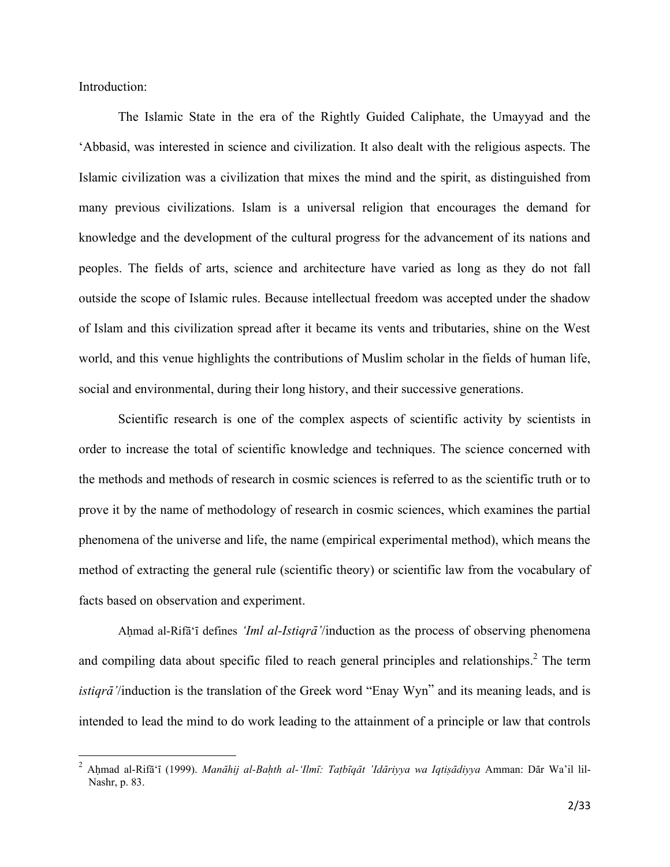Introduction:

 $\overline{\phantom{a}}$ 

The Islamic State in the era of the Rightly Guided Caliphate, the Umayyad and the 'Abbasid, was interested in science and civilization. It also dealt with the religious aspects. The Islamic civilization was a civilization that mixes the mind and the spirit, as distinguished from many previous civilizations. Islam is a universal religion that encourages the demand for knowledge and the development of the cultural progress for the advancement of its nations and peoples. The fields of arts, science and architecture have varied as long as they do not fall outside the scope of Islamic rules. Because intellectual freedom was accepted under the shadow of Islam and this civilization spread after it became its vents and tributaries, shine on the West world, and this venue highlights the contributions of Muslim scholar in the fields of human life, social and environmental, during their long history, and their successive generations.

Scientific research is one of the complex aspects of scientific activity by scientists in order to increase the total of scientific knowledge and techniques. The science concerned with the methods and methods of research in cosmic sciences is referred to as the scientific truth or to prove it by the name of methodology of research in cosmic sciences, which examines the partial phenomena of the universe and life, the name (empirical experimental method), which means the method of extracting the general rule (scientific theory) or scientific law from the vocabulary of facts based on observation and experiment.

Ahmad al-Rifã<sup>\*</sup>i defines *'Iml al-Istiqrã'*/induction as the process of observing phenomena and compiling data about specific filed to reach general principles and relationships.<sup>2</sup> The term *istiqrā*'/induction is the translation of the Greek word "Enay Wyn" and its meaning leads, and is intended to lead the mind to do work leading to the attainment of a principle or law that controls

<sup>&</sup>lt;sup>2</sup> Aḥmad al-Rifāʿī (1999). *Manāhij al-Baḥth al-ʻIlmī: Taṭbīqāt 'Idāriyya wa Iqtiṣādiyya Amman: Dār Wa'il lil-*Nashr, p. 83.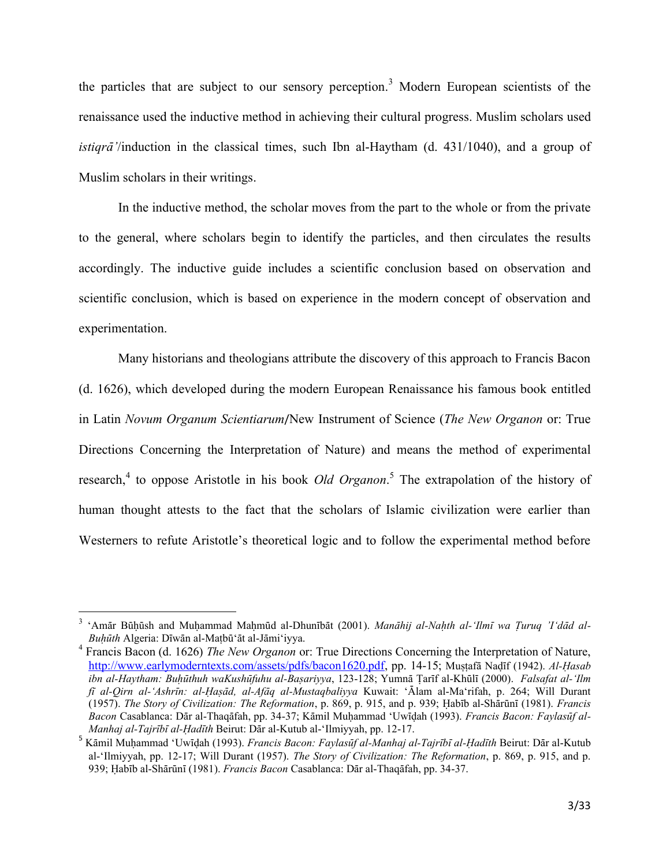the particles that are subject to our sensory perception.<sup>3</sup> Modern European scientists of the renaissance used the inductive method in achieving their cultural progress. Muslim scholars used *istiara* /*induction* in the classical times, such Ibn al-Haytham (d. 431/1040), and a group of Muslim scholars in their writings.

In the inductive method, the scholar moves from the part to the whole or from the private to the general, where scholars begin to identify the particles, and then circulates the results accordingly. The inductive guide includes a scientific conclusion based on observation and scientific conclusion, which is based on experience in the modern concept of observation and experimentation.

Many historians and theologians attribute the discovery of this approach to Francis Bacon (d. 1626), which developed during the modern European Renaissance his famous book entitled in Latin Novum Organum Scientiarum/New Instrument of Science (The New Organon or: True Directions Concerning the Interpretation of Nature) and means the method of experimental research,<sup>4</sup> to oppose Aristotle in his book *Old Organon*.<sup>5</sup> The extrapolation of the history of human thought attests to the fact that the scholars of Islamic civilization were earlier than Westerners to refute Aristotle's theoretical logic and to follow the experimental method before

<sup>&#</sup>x27;Amār Būhūsh and Muhammad Mahmūd al-Dhunībāt (2001). Manāhij al-Nahth al-'Ilmī wa Turuq 'I'dād al-Buhūth Algeria: Dīwān al-Matbū'āt al-Jāmi'iyya.

 $4$  Francis Bacon (d. 1626) The New Organon or: True Directions Concerning the Interpretation of Nature, http://www.earlymoderntexts.com/assets/pdfs/bacon1620.pdf, pp. 14-15; Mustafa Nadīf (1942). Al-Hasab ibn al-Haytham: Buhūthuh waKushūfuhu al-Basariyya, 123-128; Yumnā Tarīf al-Khūlī (2000). Falsafat al-'Ilm fī al-Qirn al-'Ashrīn: al-Haşād, al-Afāq al-Mustaqbaliyya Kuwait: 'Ālam al-Ma'rifah, p. 264; Will Durant (1957). The Story of Civilization: The Reformation, p. 869, p. 915, and p. 939; Habīb al-Shārūnī (1981). Francis Bacon Casablanca: Dār al-Thaqāfah, pp. 34-37; Kāmil Muhammad 'Uwidah (1993). Francis Bacon: Faylasūf al-Manhaj al-Tajrībī al-Hadīth Beirut: Dār al-Kutub al-'Ilmiyyah, pp. 12-17.

Kāmil Muhammad 'Uwīdah (1993). Francis Bacon: Faylasūf al-Manhaj al-Tajrībī al-Hadīth Beirut: Dār al-Kutub al-'Ilmiyyah, pp. 12-17; Will Durant (1957). The Story of Civilization: The Reformation, p. 869, p. 915, and p. 939; Habīb al-Shārūnī (1981). Francis Bacon Casablanca: Dār al-Thaqāfah, pp. 34-37.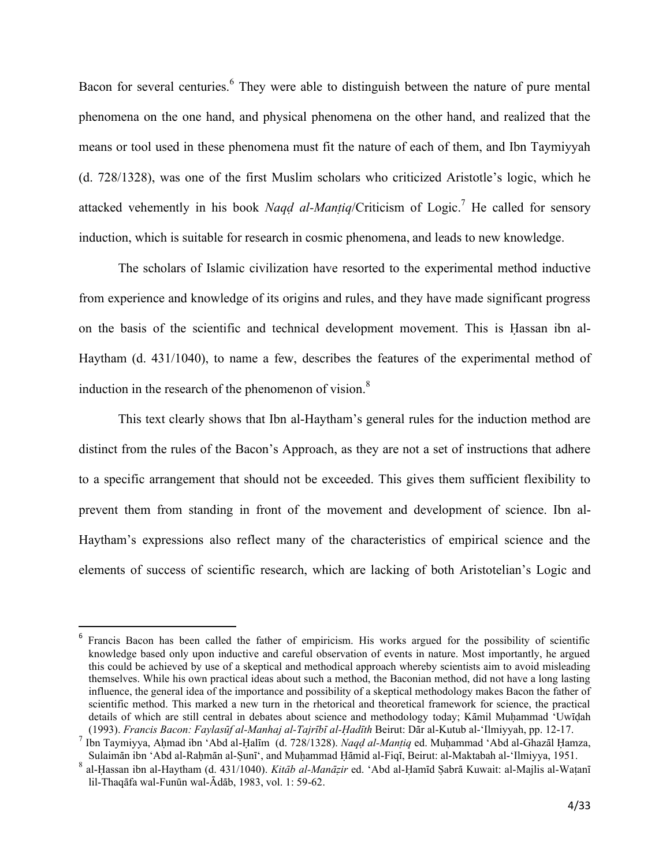Bacon for several centuries. <sup>6</sup> They were able to distinguish between the nature of pure mental phenomena on the one hand, and physical phenomena on the other hand, and realized that the means or tool used in these phenomena must fit the nature of each of them, and Ibn Taymiyyah (d. 728/1328), was one of the first Muslim scholars who criticized Aristotle's logic, which he attacked vehemently in his book *Nagd al-Mantiq*/Criticism of Logic.<sup>7</sup> He called for sensory induction, which is suitable for research in cosmic phenomena, and leads to new knowledge.

The scholars of Islamic civilization have resorted to the experimental method inductive from experience and knowledge of its origins and rules, and they have made significant progress on the basis of the scientific and technical development movement. This is Hassan ibn al-Haytham (d. 431/1040), to name a few, describes the features of the experimental method of induction in the research of the phenomenon of vision.<sup>8</sup>

This text clearly shows that Ibn al-Haytham's general rules for the induction method are distinct from the rules of the Bacon's Approach, as they are not a set of instructions that adhere to a specific arrangement that should not be exceeded. This gives them sufficient flexibility to prevent them from standing in front of the movement and development of science. Ibn al-Haytham's expressions also reflect many of the characteristics of empirical science and the elements of success of scientific research, which are lacking of both Aristotelian's Logic and

 $\overline{a}$ 

<sup>&</sup>lt;sup>6</sup> Francis Bacon has been called the father of empiricism. His works argued for the possibility of scientific knowledge based only upon inductive and careful observation of events in nature. Most importantly, he argued this could be achieved by use of a skeptical and methodical approach whereby scientists aim to avoid misleading themselves. While his own practical ideas about such a method, the Baconian method, did not have a long lasting influence, the general idea of the importance and possibility of a skeptical methodology makes Bacon the father of scientific method. This marked a new turn in the rhetorical and theoretical framework for science, the practical details of which are still central in debates about science and methodology today; Kāmil Muhammad 'Uwīdah (1993). *Francis Bacon: FaylasËf al-Manhaj al-TajrÊbÊ al-×adÊth* Beirut: DÉr al-Kutub al-'Ilmiyyah, pp. 12-17.

<sup>7</sup> Ibn Taymiyya, Ahmad ibn 'Abd al-Halīm (d. 728/1328). *Naqd al-Mantiq* ed. Muhammad 'Abd al-Ghazāl Hamza, Sulaimān ibn 'Abd al-Rahmān al-Ṣunī', and Muḥammad Ḥāmid al-Fiqī, Beirut: al-Maktabah al-'Ilmiyya, 1951.

<sup>&</sup>lt;sup>8</sup> al-Hassan ibn al-Haytham (d. 431/1040). *Kitāb al-Manāzir* ed. 'Abd al-Ḥamīd Ṣabrā Kuwait: al-Majlis al-Waṭanī lil-Thaqāfa wal-Funūn wal-Ādāb, 1983, vol. 1: 59-62.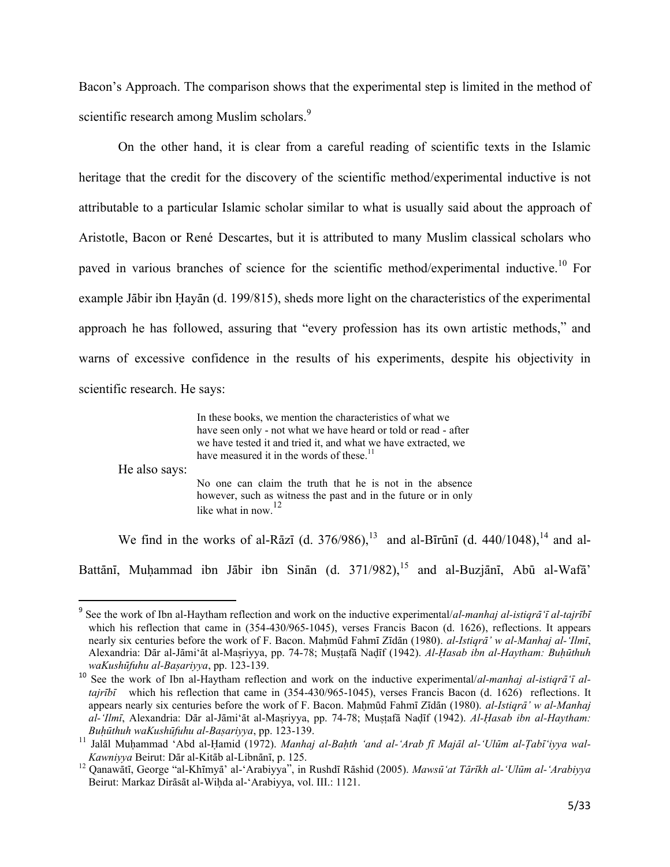Bacon's Approach. The comparison shows that the experimental step is limited in the method of scientific research among Muslim scholars.<sup>9</sup>

On the other hand, it is clear from a careful reading of scientific texts in the Islamic heritage that the credit for the discovery of the scientific method/experimental inductive is not attributable to a particular Islamic scholar similar to what is usually said about the approach of Aristotle, Bacon or René Descartes, but it is attributed to many Muslim classical scholars who paved in various branches of science for the scientific method/experimental inductive.<sup>10</sup> For example Jābir ibn Hayān (d. 199/815), sheds more light on the characteristics of the experimental approach he has followed, assuring that "every profession has its own artistic methods," and warns of excessive confidence in the results of his experiments, despite his objectivity in scientific research. He says:

> In these books, we mention the characteristics of what we have seen only - not what we have heard or told or read - after we have tested it and tried it, and what we have extracted, we have measured it in the words of these.<sup>11</sup>

He also says:

 $\overline{\phantom{a}}$ 

No one can claim the truth that he is not in the absence however, such as witness the past and in the future or in only like what in now.<sup>12</sup>

We find in the works of al-Rāzī (d. 376/986),<sup>13</sup> and al-Bīrūnī (d. 440/1048),<sup>14</sup> and al-

Battānī, Muhammad ibn Jābir ibn Sinān (d. 371/982),<sup>15</sup> and al-Buzjānī, Abū al-Wafā'

<sup>&</sup>lt;sup>9</sup> See the work of Ibn al-Haytham reflection and work on the inductive experimental/*al-manhaj al-istiqrā 'ī al-tajrībī* which his reflection that came in  $(354-430/965-1045)$ , verses Francis Bacon (d. 1626), reflections. It appears nearly six centuries before the work of F. Bacon. Mahmūd Fahmī Zīdān (1980). *al-Istiqrā' w al-Manhaj al-'Ilmī*, Alexandria: Dār al-Jāmi'āt al-Masriyya, pp. 74-78; Muṣṭafā Naḍīf (1942). *Al-Hasab ibn al-Haytham: Buhūthuh waKushūfuhu al-Başariyya*, pp. 123-139.

<sup>10</sup> See the work of Ibn al-Haytham reflection and work on the inductive experimental/*al-manhaj al-istiqrã'ī altajrībī* which his reflection that came in (354-430/965-1045), verses Francis Bacon (d. 1626) reflections. It appears nearly six centuries before the work of F. Bacon. Mahmūd Fahmī Zīdān (1980). *al-Istiqrā' w al-Manhaj al-'Ilmī*, Alexandria: Dār al-Jāmi'āt al-Mașriyya, pp. 74-78; Mușțafā Nadīf (1942). *Al-Hasab ibn al-Haytham: BuÍËthuh waKushËfuhu al-BaÎariyya*, pp. 123-139.

<sup>11</sup> Jalāl Muhammad 'Abd al-Hamid (1972). *Manhaj al-Bahth 'and al-'Arab fī Majāl al-'Ulūm al-Tabī'iyya wal-Kawniyya* Beirut: Dār al-Kitāb al-Libnānī, p. 125.

<sup>&</sup>lt;sup>12</sup> Qanawātī, George "al-Khīmyā' al-'Arabiyya", in Rushdī Rāshid (2005). Mawsū'at Tārīkh al-'Ulūm al-'Arabiyya Beirut: Markaz Dirāsāt al-Wiḥda al-'Arabiyya, vol. III.: 1121.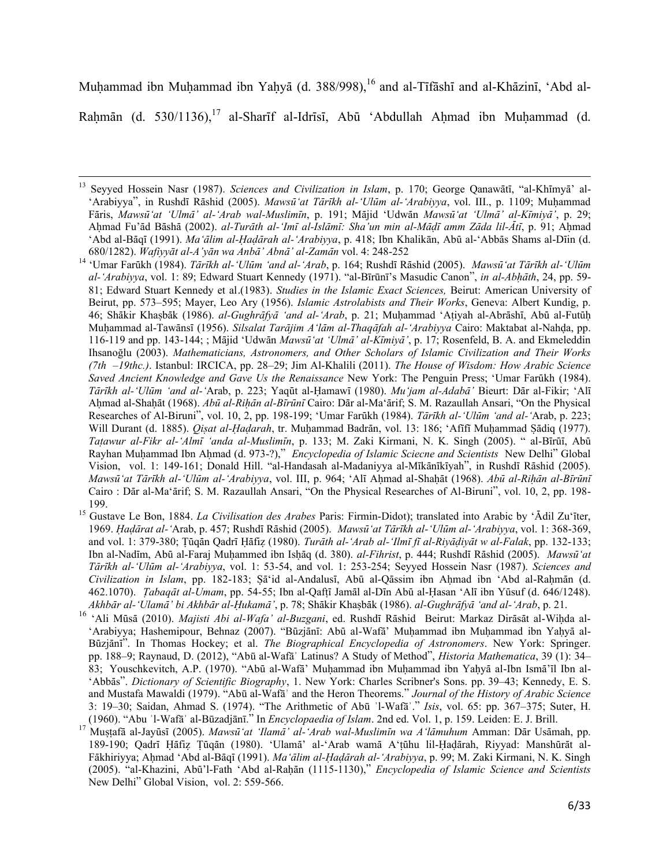Muhammad ibn Muhammad ibn Yahyā (d. 388/998),<sup>16</sup> and al-Tīfāshī and al-Khāzinī, 'Abd al-

Rahmān (d. 530/1136),<sup>17</sup> al-Sharīf al-Idrīsī, Abū 'Abdullah Ahmad ibn Muhammad (d.

<sup>&</sup>lt;sup>13</sup> Seyyed Hossein Nasr (1987). *Sciences and Civilization in Islam*, p. 170; George Qanawātī, "al-Khīmyā' al-'Arabiyya", in RushdÊ RÉshid (2005). *MawsË'at TÉrÊkh al-'UlËm al-'Arabiyya*, vol. III., p. 1109; MuÍammad FÉris, *MawsË'at 'UlmÉ' al-'Arab wal-MuslimÊn*, p. 191; MÉjid 'UdwÉn *MawsË'at 'UlmÉ' al-KÊmiyÉ'*, p. 29; AÍmad Fu'Éd BÉshÉ (2002). *al-TurÉth al-'ImÊ al-IslÉmÊ: Sha'un min al-MÉÌÊ amm ZÉda lil-ÓtÊ*, p. 91; AÍmad 'Abd al-BÉqÊ (1991). *Ma'Élim al-×aÌÉrah al-'Arabiyya*, p. 418; Ibn Khalikān, AbË al-'AbbÉs Shams al-DÊin (d. 680/1282). *Wafiyyāt al-A'yān wa AnbÉ' AbnÉ' al-ZamÉn* vol. 4: 248-252

<sup>&</sup>lt;sup>14</sup> 'Umar Farūkh (1984). *Tārīkh al-'Ulūm 'and al-'Arab*, p. 164; Rushdī Rāshid (2005). *Mawsū'at Tārīkh al-'Ulūm al-'Arabiyya*, vol. 1: 89; Edward Stuart Kennedy (1971). "al-Bīrūnī's Masudic Canon", *in al-AbÍÉth*, 24, pp. 59- 81; Edward Stuart Kennedy et al.(1983). *Studies in the Islamic Exact Sciences,* Beirut: American University of Beirut, pp. 573–595; Mayer, Leo Ary (1956). *Islamic Astrolabists and Their Works*, Geneva: Albert Kundig, p. 46; Shākir Khasbāk (1986). *al-Gughrāfyā 'and al-'Arab*, p. 21; Muhammad 'Atiyah al-Abrāshī, Abū al-Futūh Muhammad al-Tawānsī (1956). *Silsalat Tarājim A'lām al-Thaqāfah al-'Arabiyya* Cairo: Maktabat al-Nahda, pp. 116-119 and pp. 143-144; ; MÉjid 'UdwÉn *MawsË'at 'UlmÉ' al-KÊmiyÉ'*, p. 17; Rosenfeld, B. A. and Ekmeleddin Ihsanoğlu (2003). *Mathematicians, Astronomers, and Other Scholars of Islamic Civilization and Their Works (7th   –19thc.)*. Istanbul: IRCICA, pp. 28–29; Jim Al-Khalili (2011). *The House of Wisdom: How Arabic Science*  Saved Ancient Knowledge and Gave Us the Renaissance New York: The Penguin Press; 'Umar Farūkh (1984). *Tārīkh al-'Ulūm 'and al-'Arab, p. 223; Yaqūt al-Hamawī (1980). <i>Mu'jam al-Adabā'* Bieurt: Dār al-Fikir; 'Alī Ahmad al-Shahāt (1968). *Abū al-Rihān al-Bīrūnī* Cairo: Dār al-Ma'ārif; S. M. Razaullah Ansari, "On the Physical Researches of Al-Biruni", vol. 10, 2, pp. 198-199; 'Umar Farūkh (1984). *Tārīkh al-'Ulūm 'and al-'*Arab, p. 223; Will Durant (d. 1885). *Qiṣat al-Haḍarah*, tr. Muḥammad Badrān, vol. 13: 186; 'Afīfī Muḥammad Ṣādiq (1977). *TaÏawur al-Fikr al-'AlmÊ 'anda al-MuslimÊn*, p. 133; M. Zaki Kirmani, N. K. Singh (2005). " al-BÊrËÊ, AbË Rayhan Muhammad Ibn Ahmad (d. 973-?)," *Encyclopedia of Islamic Sciecne and Scientists* New Delhi" Global Vision, vol. 1: 149-161; Donald Hill. "al-Handasah al-Madaniyya al-Mīkānīkīyah", in Rushdī Rāshid (2005). *Mawsū*<sup>*'at Tārīkh al-'Ulūm al-'Arabiyya*, vol. III, p. 964; 'Alī Ahmad al-Shaḥāt (1968). *Abū al-Rihān al-Bīrūnī*</sup> Cairo : Dār al-Ma'ārif; S. M. Razaullah Ansari, "On the Physical Researches of Al-Biruni", vol. 10, 2, pp. 198-199.

<sup>&</sup>lt;sup>15</sup> Gustave Le Bon, 1884. *La Civilisation des Arabes* Paris: Firmin-Didot); translated into Arabic by 'Ādil Zu'īter, 1969. *×aÌÉrat al-'*Arab, p. 457; RushdÊ RÉshid (2005). *MawsË'at TÉrÊkh al-'UlËm al-'Arabiyya*, vol. 1: 368-369, and vol. 1: 379-380; Țūgān Qadrī Hāfiz (1980). *Turāth al-'Arab al-'Ilmī fī al-Riyādiyāt w al-Falak*, pp. 132-133; Ibn al-Nadīm, Abū al-Faraj Muhammed ibn Ishāq (d. 380). *al-Fihrist*, p. 444; Rushdī Rāshid (2005). *Mawsū'at TÉrÊkh al-'UlËm al-'Arabiyya*, vol. 1: 53-54, and vol. 1: 253-254; Seyyed Hossein Nasr (1987). *Sciences and Civilization in Islam*, pp. 182-183; Sā'id al-Andalusī, Abū al-Qāssim ibn Ahmad ibn 'Abd al-Rahmān (d. 462.1070). *Tabaqāt al-Umam*, pp. 54-55; Ibn al-Qaftī Jamāl al-Dīn Abū al-Hasan 'Alī ibn Yūsuf (d. 646/1248). *AkhbÉr al-'UlamÉ' bi AkhbÉr al-×ukamÉ'*, p. 78; ShÉkir KhaÎbÉk (1986). *al-GughrÉfyÉ 'and al-'Arab*, p. 21.

<sup>16 &#</sup>x27;Ali Mūsā (2010). *Majisti Abi al-Wafa' al-Buzgani*, ed. Rushdī Rāshid Beirut: Markaz Dirāsāt al-Wihda al-'Arabiyya; Hashemipour, Behnaz (2007). "Būzjānī: Abū al-Wafā' Muhammad ibn Muhammad ibn Yahyā al-Būzjānī". In Thomas Hockey; et al. *The Biographical Encyclopedia of Astronomers*. New York: Springer. pp. 188–9; Raynaud, D. (2012), "Abū al-Wafāʾ Latinus? A Study of Method", *Historia Mathematica*, 39 (1): 34– 83; Youschkevitch, A.P. (1970). "Abū al-Wafā' Muḥammad ibn Muḥammad ibn Yaḥyā al-Ibn Ismā'īl Ibn al-'AbbÉs". *Dictionary of Scientific Biography*, 1. New York: Charles Scribner's Sons. pp. 39–43; Kennedy, E. S. and Mustafa Mawaldi (1979). "Abū al‐Wafāʾ and the Heron Theorems." *Journal of the History of Arabic Science* 3: 19–30; Saidan, Ahmad S. (1974). "The Arithmetic of Abū ʾl‐Wafāʾ." *Isis*, vol. 65: pp. 367–375; Suter, H. (1960). "Abu ʾl‐Wafāʾ al‐Būzadjānī." In *Encyclopaedia of Islam*. 2nd ed. Vol. 1, p. 159. Leiden: E. J. Brill.

<sup>&</sup>lt;sup>17</sup> Mustafā al-Jayūsī (2005). *Mawsū'at 'Ilamā' al-'Arab wal-Muslimīn wa A'lāmuhum* Amman: Dār Usāmah, pp. 189-190; Qadrī Ḥāfiz Țūqān (1980). 'Ulamā' al-'Arab wamā A'ṭūhu lil-Ḥaḍārah, Riyyad: Manshūrāt al-Fākhiriyya; Ahmad 'Abd al-Bāqī (1991). *Ma'ālim al-Hadārah al-'Arabiyya*, p. 99; M. Zaki Kirmani, N. K. Singh (2005). "al-Khazini, Abū'l-Fath 'Abd al-Raḥān (1115-1130)," *Encyclopedia of Islamic Science and Scientists* New Delhi" Global Vision, vol. 2: 559-566.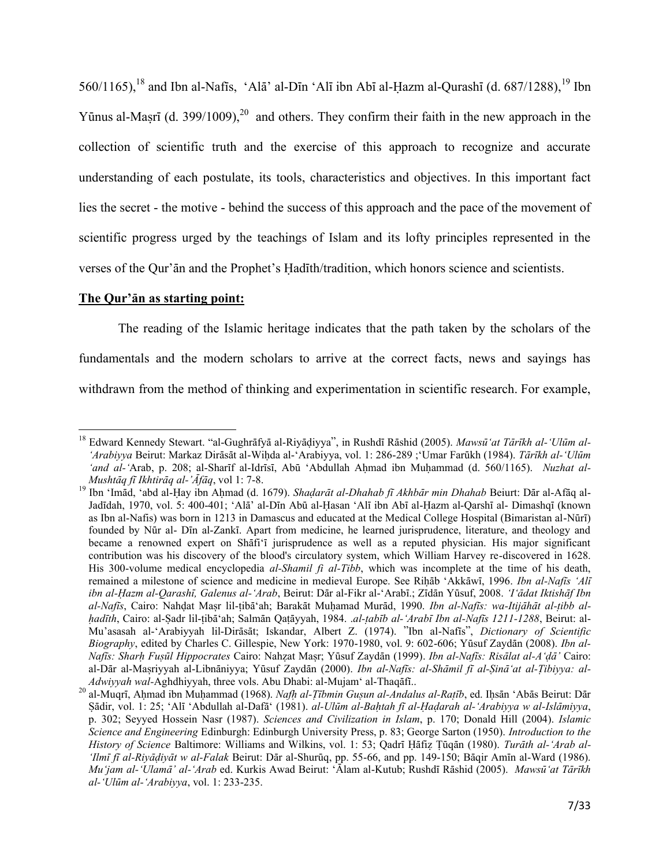560/1165),<sup>18</sup> and Ibn al-Nafis, 'Ala' al-Din 'Ali ibn Abi al-Hazm al-Qurashi (d. 687/1288),<sup>19</sup> Ibn Yūnus al-Masrī (d. 399/1009),<sup>20</sup> and others. They confirm their faith in the new approach in the collection of scientific truth and the exercise of this approach to recognize and accurate understanding of each postulate, its tools, characteristics and objectives. In this important fact lies the secret - the motive - behind the success of this approach and the pace of the movement of scientific progress urged by the teachings of Islam and its lofty principles represented in the verses of the Qur'an and the Prophet's Hadith/tradition, which honors science and scientists.

### The Qur'an as starting point:

The reading of the Islamic heritage indicates that the path taken by the scholars of the fundamentals and the modern scholars to arrive at the correct facts, news and sayings has withdrawn from the method of thinking and experimentation in scientific research. For example,

<sup>&</sup>lt;sup>18</sup> Edward Kennedy Stewart. "al-Gughrāfyā al-Riyādiyya", in Rushdī Rāshid (2005). Mawsū 'at Tārīkh al-'Ulūm al-'Arabiyya Beirut: Markaz Dirāsāt al-Wihda al-'Arabiyya, vol. 1: 286-289 ;'Umar Farūkh (1984). Tārīkh al-'Ulūm 'and al-'Arab, p. 208; al-Sharif al-Idrisi, Abū 'Abdullah Ahmad ibn Muhammad (d. 560/1165). Nuzhat al-Mushtāg fī Ikhtirāg al-'Āfāg, vol 1: 7-8.

<sup>&</sup>lt;sup>19</sup> Ibn 'Imād, 'abd al-Ḥay ibn Aḥmad (d. 1679). Shadarāt al-Dhahab fī Akhbār min Dhahab Beiurt: Dār al-Afāq al-Jadīdah, 1970, vol. 5: 400-401; 'Alā' al-Dīn Abū al-Hasan 'Alī ibn Abī al-Hazm al-Qarshī al- Dimashqī (known as Ibn al-Nafis) was born in 1213 in Damascus and educated at the Medical College Hospital (Bimaristan al-Nūrī) founded by Nūr al- Dīn al-Zankī. Apart from medicine, he learned jurisprudence, literature, and theology and became a renowned expert on Shafi'i jurisprudence as well as a reputed physician. His major significant contribution was his discovery of the blood's circulatory system, which William Harvey re-discovered in 1628. His 300-volume medical encyclopedia al-Shamil fi al-Tibb, which was incomplete at the time of his death, remained a milestone of science and medicine in medieval Europe. See Rihab 'Akkawi, 1996. Ibn al-Nafis 'Ali ibn al-Hazm al-Qarashī, Galenus al-'Arab, Beirut: Dār al-Fikr al-'Arabī.; Zīdān Yūsuf, 2008. T'ādat Iktishāf Ibn al-Nafīs, Cairo: Nahdat Masr lil-tibā'ah; Barakāt Muhamad Murād, 1990. Ibn al-Nafīs: wa-Itijāhāt al-tibb alhadīth, Cairo: al-Șadr lil-țibă'ah; Salmān Qațāyyah, 1984. .al-țabīb al-'Arabī Ibn al-Nafīs 1211-1288, Beirut: al-Mu'asasah al-'Arabiyyah lil-Dirāsāt; Iskandar, Albert Z. (1974). "Ibn al-Nafīs", Dictionary of Scientific Biography, edited by Charles C. Gillespie, New York: 1970-1980, vol. 9: 602-606; Yūsuf Zaydān (2008). Ibn al-Nafīs: Sharh Fusūl Hippocrates Cairo: Nahzat Masr; Yūsuf Zaydān (1999). Ibn al-Nafīs: Risālat al-A'dā' Cairo: al-Dār al-Mașriyyah al-Libnāniyya; Yūsuf Zaydān (2000). Ibn al-Nafīs: al-Shāmil fī al-Șinā'at al-Tibiyya: al-Adwiyyah wal-Aghdhiyyah, three vols. Abu Dhabi: al-Mujam' al-Thaqāfī..

<sup>&</sup>lt;sup>20</sup> al-Muqrī, Ahmad ibn Muhammad (1968). Nafh al-Tībmin Gusun al-Andalus al-Rațīb, ed. Ihsān 'Abās Beirut: Dār Sādir, vol. 1: 25; 'Alī 'Abdullah al-Dafā' (1981). al-Ulūm al-Bahtah fī al-Hadarah al-'Arabiyya w al-Islāmiyya, p. 302; Seyved Hossein Nasr (1987). Sciences and Civilization in Islam, p. 170; Donald Hill (2004). Islamic Science and Engineering Edinburgh: Edinburgh University Press, p. 83; George Sarton (1950). Introduction to the History of Science Baltimore: Williams and Wilkins, vol. 1: 53; Qadrī Hāfiz Țūqān (1980). Turāth al-'Arab al-'Ilmī fī al-Riyāḍiyāt w al-Falak Beirut: Dār al-Shurūq, pp. 55-66, and pp. 149-150; Bāqir Amīn al-Ward (1986). Mu'jam al-'Ulamā' al-'Arab ed. Kurkis Awad Beirut: 'Alam al-Kutub; Rushdī Rāshid (2005). Mawsū'at Tārīkh al-'Ulūm al-'Arabiyya, vol. 1: 233-235.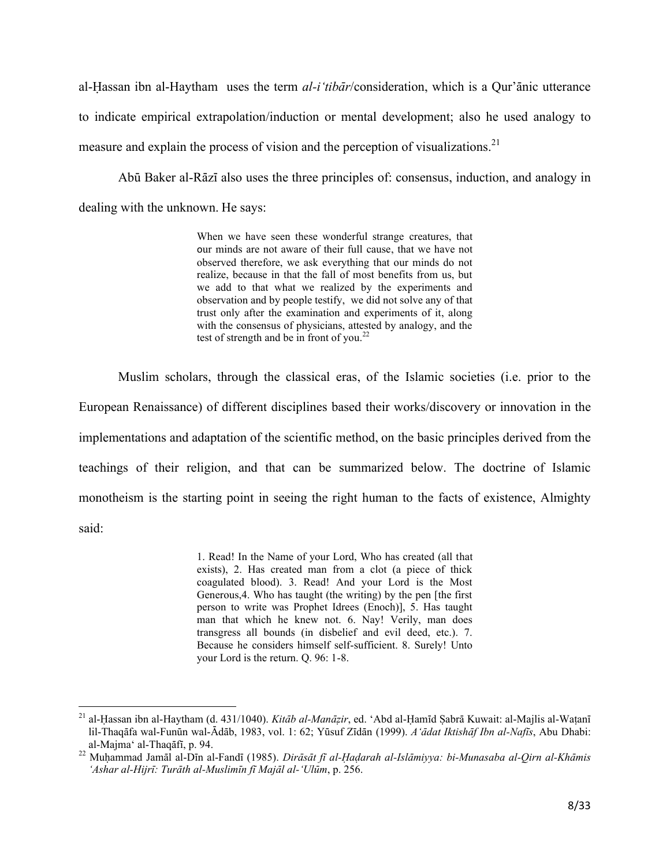al-Hassan ibn al-Haytham uses the term *al-i'tibār*/consideration, which is a Qur'ānic utterance to indicate empirical extrapolation/induction or mental development; also he used analogy to measure and explain the process of vision and the perception of visualizations.<sup>21</sup>

Abū Baker al-Rāzī also uses the three principles of: consensus, induction, and analogy in dealing with the unknown. He says:

> When we have seen these wonderful strange creatures, that our minds are not aware of their full cause, that we have not observed therefore, we ask everything that our minds do not realize, because in that the fall of most benefits from us, but we add to that what we realized by the experiments and observation and by people testify, we did not solve any of that trust only after the examination and experiments of it, along with the consensus of physicians, attested by analogy, and the test of strength and be in front of you. $^{22}$

Muslim scholars, through the classical eras, of the Islamic societies (i.e. prior to the European Renaissance) of different disciplines based their works/discovery or innovation in the implementations and adaptation of the scientific method, on the basic principles derived from the teachings of their religion, and that can be summarized below. The doctrine of Islamic monotheism is the starting point in seeing the right human to the facts of existence, Almighty said:

> 1. Read! In the Name of your Lord, Who has created (all that exists), 2. Has created man from a clot (a piece of thick coagulated blood). 3. Read! And your Lord is the Most Generous,4. Who has taught (the writing) by the pen [the first person to write was Prophet Idrees (Enoch)], 5. Has taught man that which he knew not. 6. Nay! Verily, man does transgress all bounds (in disbelief and evil deed, etc.). 7. Because he considers himself self-sufficient. 8. Surely! Unto your Lord is the return. Q. 96: 1-8.

l

<sup>&</sup>lt;sup>21</sup> al-Ḥassan ibn al-Haytham (d. 431/1040). *Kitāb al-Manāẓir*, ed. 'Abd al-Ḥamīd Ṣabrā Kuwait: al-Majlis al-Waṭanī lil-Thaqāfa wal-Funūn wal-Ādāb, 1983, vol. 1: 62; Yūsuf Zīdān (1999). *A'ādat Iktishāf Ibn al-Nafīs*, Abu Dhabi: al-Majma' al-Thaqāfī, p. 94.

<sup>22</sup> Muḥammad Jamāl al-Dīn al-Fandī (1985). *Dirāsāt fī al-Ḥaḍarah al-Islāmiyya: bi-Munasaba al-Qirn al-Khāmis* 'Ashar al-Hijrī: Turāth al-Muslimīn fī Majāl al-'Ulūm, p. 256.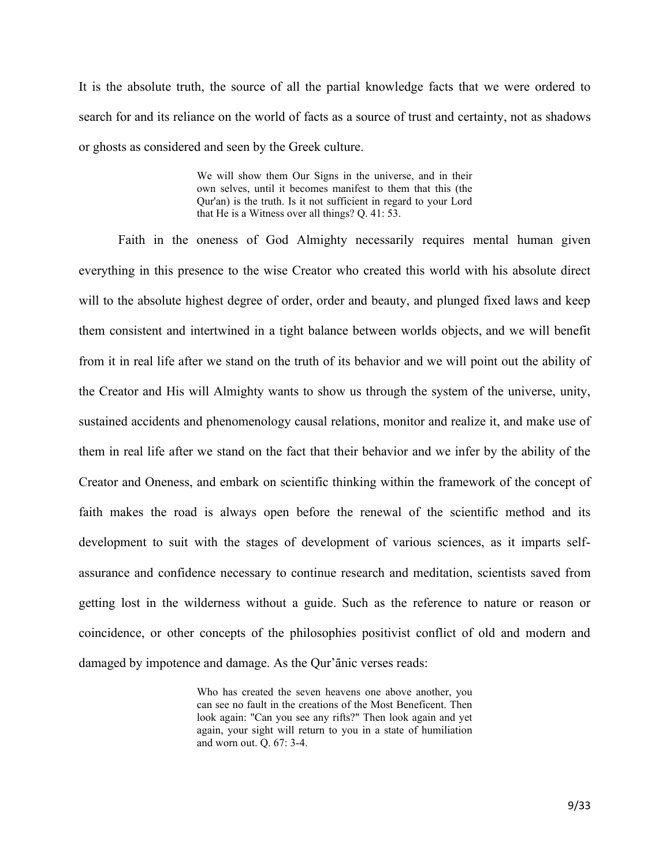It is the absolute truth, the source of all the partial knowledge facts that we were ordered to search for and its reliance on the world of facts as a source of trust and certainty, not as shadows or ghosts as considered and seen by the Greek culture.

> We will show them Our Signs in the universe, and in their own selves, until it becomes manifest to them that this (the Qur'an) is the truth. Is it not sufficient in regard to your Lord that He is a Witness over all things? Q. 41: 53.

Faith in the oneness of God Almighty necessarily requires mental human given everything in this presence to the wise Creator who created this world with his absolute direct will to the absolute highest degree of order, order and beauty, and plunged fixed laws and keep them consistent and intertwined in a tight balance between worlds objects, and we will benefit from it in real life after we stand on the truth of its behavior and we will point out the ability of the Creator and His will Almighty wants to show us through the system of the universe, unity, sustained accidents and phenomenology causal relations, monitor and realize it, and make use of them in real life after we stand on the fact that their behavior and we infer by the ability of the Creator and Oneness, and embark on scientific thinking within the framework of the concept of faith makes the road is always open before the renewal of the scientific method and its development to suit with the stages of development of various sciences, as it imparts selfassurance and confidence necessary to continue research and meditation, scientists saved from getting lost in the wilderness without a guide. Such as the reference to nature or reason or coincidence, or other concepts of the philosophies positivist conflict of old and modern and damaged by impotence and damage. As the Qur'anic verses reads:

> Who has created the seven heavens one above another, you can see no fault in the creations of the Most Beneficent. Then look again: "Can you see any rifts?" Then look again and yet again, your sight will return to you in a state of humiliation and worn out. Q. 67: 3-4.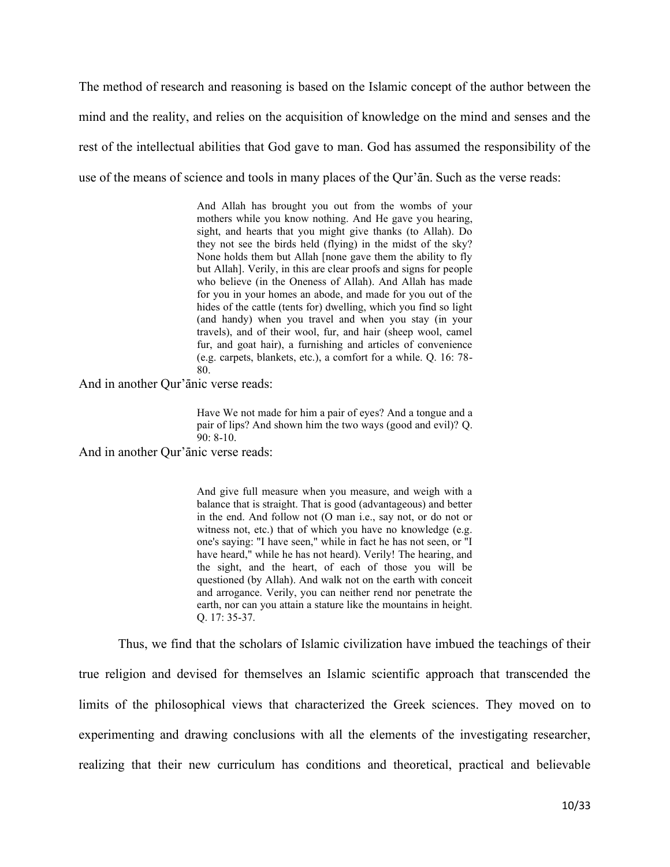The method of research and reasoning is based on the Islamic concept of the author between the mind and the reality, and relies on the acquisition of knowledge on the mind and senses and the rest of the intellectual abilities that God gave to man. God has assumed the responsibility of the use of the means of science and tools in many places of the Qur'an. Such as the verse reads:

> And Allah has brought you out from the wombs of your mothers while you know nothing. And He gave you hearing, sight, and hearts that you might give thanks (to Allah). Do they not see the birds held (flying) in the midst of the sky? None holds them but Allah [none gave them the ability to fly but Allah]. Verily, in this are clear proofs and signs for people who believe (in the Oneness of Allah). And Allah has made for you in your homes an abode, and made for you out of the hides of the cattle (tents for) dwelling, which you find so light (and handy) when you travel and when you stay (in your travels), and of their wool, fur, and hair (sheep wool, camel fur, and goat hair), a furnishing and articles of convenience (e.g. carpets, blankets, etc.), a comfort for a while. Q. 16: 78- 80.

And in another Qur'anic verse reads:

Have We not made for him a pair of eyes? And a tongue and a pair of lips? And shown him the two ways (good and evil)? Q. 90: 8-10.

And in another Qur'anic verse reads:

And give full measure when you measure, and weigh with a balance that is straight. That is good (advantageous) and better in the end. And follow not (O man i.e., say not, or do not or witness not, etc.) that of which you have no knowledge (e.g. one's saying: "I have seen," while in fact he has not seen, or "I have heard," while he has not heard). Verily! The hearing, and the sight, and the heart, of each of those you will be questioned (by Allah). And walk not on the earth with conceit and arrogance. Verily, you can neither rend nor penetrate the earth, nor can you attain a stature like the mountains in height. Q. 17: 35-37.

Thus, we find that the scholars of Islamic civilization have imbued the teachings of their true religion and devised for themselves an Islamic scientific approach that transcended the limits of the philosophical views that characterized the Greek sciences. They moved on to experimenting and drawing conclusions with all the elements of the investigating researcher, realizing that their new curriculum has conditions and theoretical, practical and believable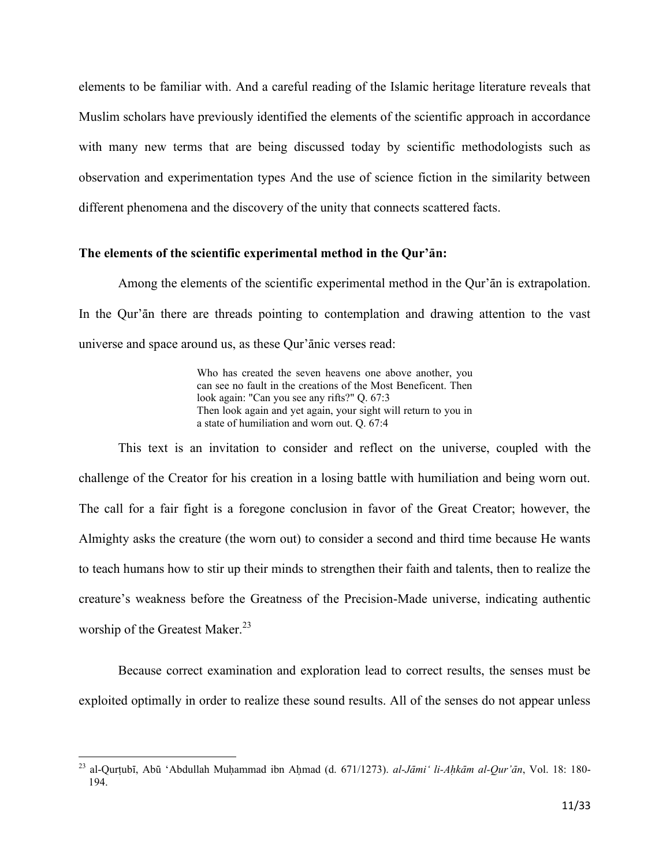elements to be familiar with. And a careful reading of the Islamic heritage literature reveals that Muslim scholars have previously identified the elements of the scientific approach in accordance with many new terms that are being discussed today by scientific methodologists such as observation and experimentation types And the use of science fiction in the similarity between different phenomena and the discovery of the unity that connects scattered facts.

### The elements of the scientific experimental method in the Qur'an:

Among the elements of the scientific experimental method in the Qur'an is extrapolation. In the Our'an there are threads pointing to contemplation and drawing attention to the vast universe and space around us, as these Qur'anic verses read:

> Who has created the seven heavens one above another, you can see no fault in the creations of the Most Beneficent. Then look again: "Can you see any rifts?" Q. 67:3 Then look again and yet again, your sight will return to you in a state of humiliation and worn out. Q. 67:4

This text is an invitation to consider and reflect on the universe, coupled with the challenge of the Creator for his creation in a losing battle with humiliation and being worn out. The call for a fair fight is a foregone conclusion in favor of the Great Creator; however, the Almighty asks the creature (the worn out) to consider a second and third time because He wants to teach humans how to stir up their minds to strengthen their faith and talents, then to realize the creature's weakness before the Greatness of the Precision-Made universe, indicating authentic worship of the Greatest Maker.<sup>23</sup>

Because correct examination and exploration lead to correct results, the senses must be exploited optimally in order to realize these sound results. All of the senses do not appear unless

<sup>&</sup>lt;sup>23</sup> al-Qurțubī, Abū 'Abdullah Muḥammad ibn Aḥmad (d. 671/1273). *al-Jāmi ' li-Aḥkām al-Qur'ān*, Vol. 18: 180-194.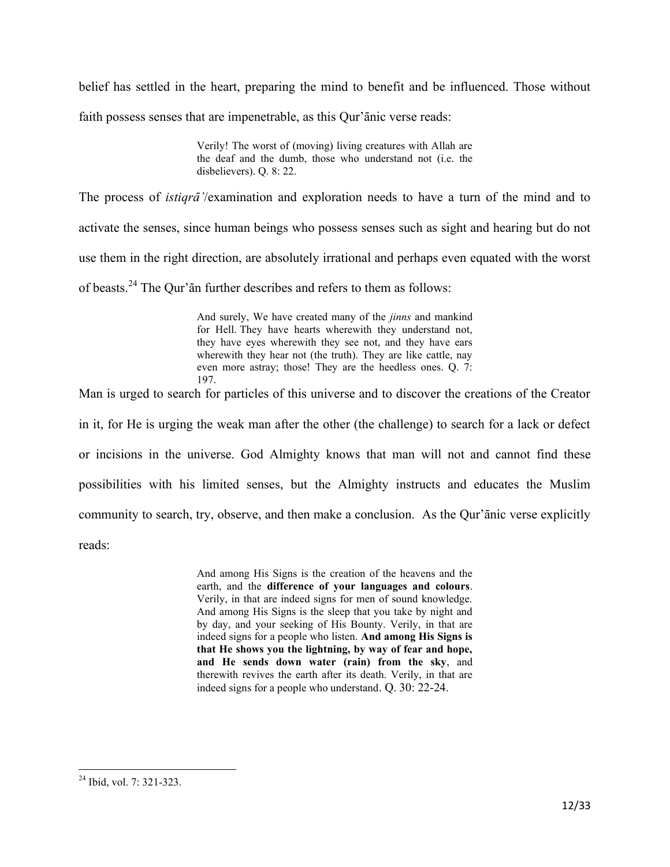belief has settled in the heart, preparing the mind to benefit and be influenced. Those without faith possess senses that are impenetrable, as this Qur'anic verse reads:

> Verily! The worst of (moving) living creatures with Allah are the deaf and the dumb, those who understand not (i.e. the disbelievers). Q. 8: 22.

The process of *istiqra* '/examination and exploration needs to have a turn of the mind and to activate the senses, since human beings who possess senses such as sight and hearing but do not use them in the right direction, are absolutely irrational and perhaps even equated with the worst of beasts.<sup>24</sup> The Qur' $\bar{a}$ n further describes and refers to them as follows:

> And surely, We have created many of the *jinns* and mankind for Hell. They have hearts wherewith they understand not, they have eyes wherewith they see not, and they have ears wherewith they hear not (the truth). They are like cattle, nay even more astray; those! They are the heedless ones. Q. 7: 197.

Man is urged to search for particles of this universe and to discover the creations of the Creator in it, for He is urging the weak man after the other (the challenge) to search for a lack or defect or incisions in the universe. God Almighty knows that man will not and cannot find these possibilities with his limited senses, but the Almighty instructs and educates the Muslim community to search, try, observe, and then make a conclusion. As the Qur'anic verse explicitly reads:

> And among His Signs is the creation of the heavens and the earth, and the **difference of your languages and colours**. Verily, in that are indeed signs for men of sound knowledge. And among His Signs is the sleep that you take by night and by day, and your seeking of His Bounty. Verily, in that are indeed signs for a people who listen. **And among His Signs is that He shows you the lightning, by way of fear and hope, and He sends down water (rain) from the sky**, and therewith revives the earth after its death. Verily, in that are indeed signs for a people who understand. Q. 30: 22-24.

 $\overline{\phantom{a}}$ <sup>24</sup> Ibid, vol. 7: 321-323.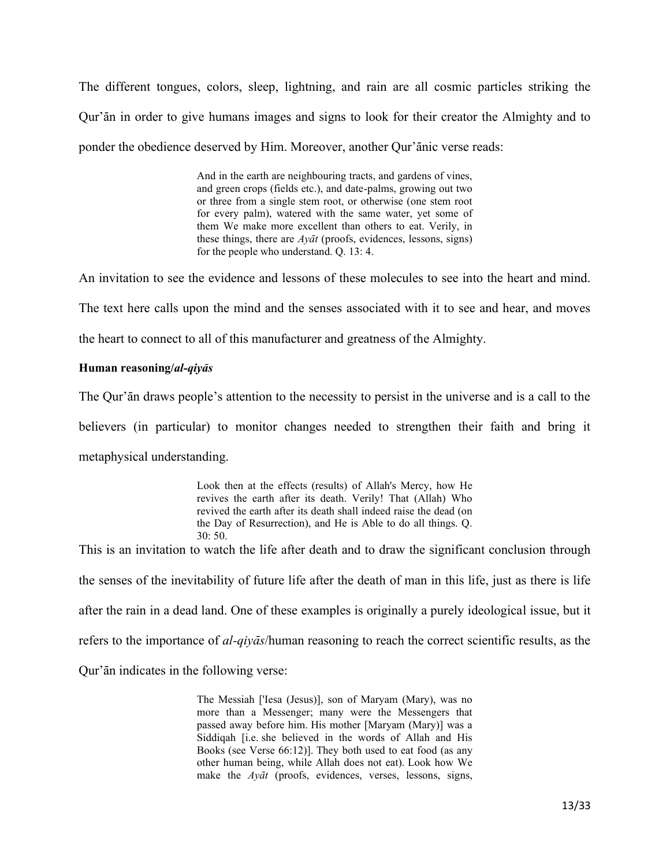The different tongues, colors, sleep, lightning, and rain are all cosmic particles striking the Qur' $\bar{a}$  in order to give humans images and signs to look for their creator the Almighty and to ponder the obedience deserved by Him. Moreover, another Our'anic verse reads:

> And in the earth are neighbouring tracts, and gardens of vines, and green crops (fields etc.), and date-palms, growing out two or three from a single stem root, or otherwise (one stem root for every palm), watered with the same water, yet some of them We make more excellent than others to eat. Verily, in these things, there are *Ayūt* (proofs, evidences, lessons, signs) for the people who understand. Q. 13: 4.

An invitation to see the evidence and lessons of these molecules to see into the heart and mind.

The text here calls upon the mind and the senses associated with it to see and hear, and moves

the heart to connect to all of this manufacturer and greatness of the Almighty.

#### **Human reasoning/***al-qiyās*

The Qur'an draws people's attention to the necessity to persist in the universe and is a call to the

believers (in particular) to monitor changes needed to strengthen their faith and bring it

metaphysical understanding.

Look then at the effects (results) of Allah's Mercy, how He revives the earth after its death. Verily! That (Allah) Who revived the earth after its death shall indeed raise the dead (on the Day of Resurrection), and He is Able to do all things. Q. 30: 50.

This is an invitation to watch the life after death and to draw the significant conclusion through the senses of the inevitability of future life after the death of man in this life, just as there is life after the rain in a dead land. One of these examples is originally a purely ideological issue, but it refers to the importance of *al-qiyÉs*/human reasoning to reach the correct scientific results, as the Qur'an indicates in the following verse:

> The Messiah ['Iesa (Jesus)], son of Maryam (Mary), was no more than a Messenger; many were the Messengers that passed away before him. His mother [Maryam (Mary)] was a Siddiqah [i.e. she believed in the words of Allah and His Books (see Verse 66:12)]. They both used to eat food (as any other human being, while Allah does not eat). Look how We make the *Ayūt* (proofs, evidences, verses, lessons, signs,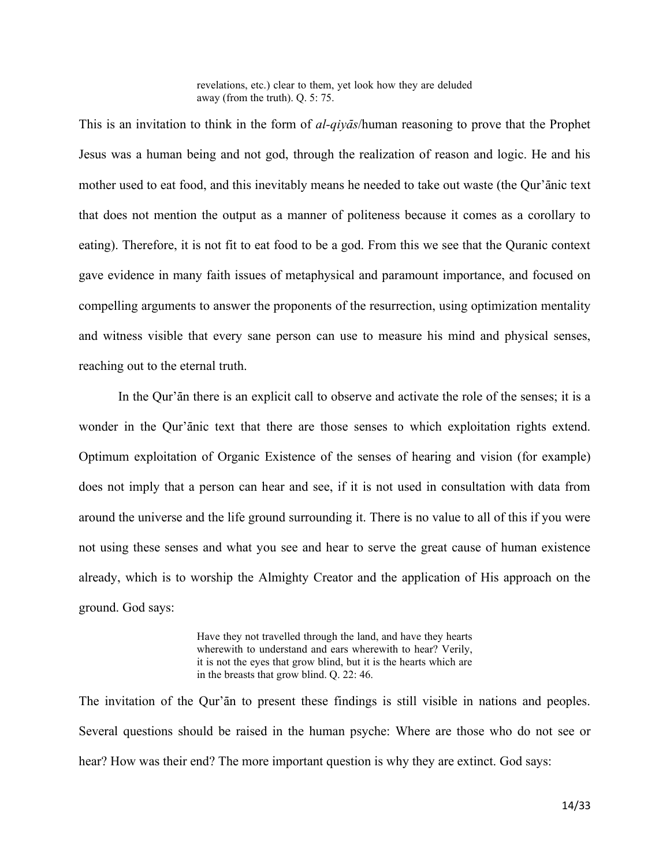revelations, etc.) clear to them, yet look how they are deluded away (from the truth). Q. 5: 75.

This is an invitation to think in the form of *al-qiyas*/human reasoning to prove that the Prophet Jesus was a human being and not god, through the realization of reason and logic. He and his mother used to eat food, and this inevitably means he needed to take out waste (the Qur'anic text that does not mention the output as a manner of politeness because it comes as a corollary to eating). Therefore, it is not fit to eat food to be a god. From this we see that the Quranic context gave evidence in many faith issues of metaphysical and paramount importance, and focused on compelling arguments to answer the proponents of the resurrection, using optimization mentality and witness visible that every sane person can use to measure his mind and physical senses, reaching out to the eternal truth.

In the Qur'an there is an explicit call to observe and activate the role of the senses; it is a wonder in the Qur'anic text that there are those senses to which exploitation rights extend. Optimum exploitation of Organic Existence of the senses of hearing and vision (for example) does not imply that a person can hear and see, if it is not used in consultation with data from around the universe and the life ground surrounding it. There is no value to all of this if you were not using these senses and what you see and hear to serve the great cause of human existence already, which is to worship the Almighty Creator and the application of His approach on the ground. God says:

> Have they not travelled through the land, and have they hearts wherewith to understand and ears wherewith to hear? Verily, it is not the eyes that grow blind, but it is the hearts which are in the breasts that grow blind. Q. 22: 46.

The invitation of the Qur'an to present these findings is still visible in nations and peoples. Several questions should be raised in the human psyche: Where are those who do not see or hear? How was their end? The more important question is why they are extinct. God says: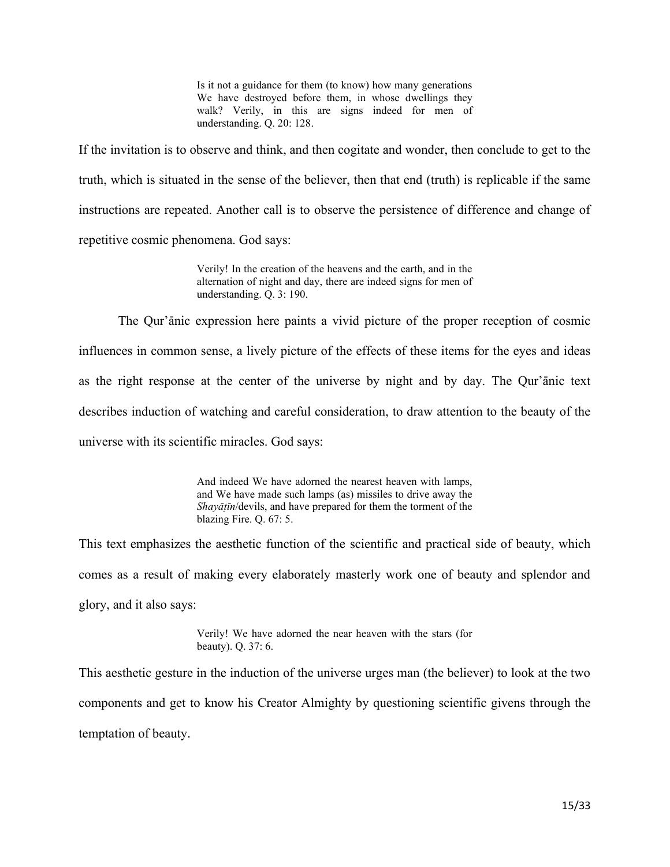Is it not a guidance for them (to know) how many generations We have destroyed before them, in whose dwellings they walk? Verily, in this are signs indeed for men of understanding. Q. 20: 128.

If the invitation is to observe and think, and then cogitate and wonder, then conclude to get to the truth, which is situated in the sense of the believer, then that end (truth) is replicable if the same instructions are repeated. Another call is to observe the persistence of difference and change of repetitive cosmic phenomena. God says:

> Verily! In the creation of the heavens and the earth, and in the alternation of night and day, there are indeed signs for men of understanding. Q. 3: 190.

The Qur'anic expression here paints a vivid picture of the proper reception of cosmic influences in common sense, a lively picture of the effects of these items for the eyes and ideas as the right response at the center of the universe by night and by day. The Qur'anic text describes induction of watching and careful consideration, to draw attention to the beauty of the universe with its scientific miracles. God says:

> And indeed We have adorned the nearest heaven with lamps, and We have made such lamps (as) missiles to drive away the *Shayāṭīn*/devils, and have prepared for them the torment of the blazing Fire. Q. 67: 5.

This text emphasizes the aesthetic function of the scientific and practical side of beauty, which comes as a result of making every elaborately masterly work one of beauty and splendor and glory, and it also says:

> Verily! We have adorned the near heaven with the stars (for beauty). Q. 37: 6.

This aesthetic gesture in the induction of the universe urges man (the believer) to look at the two components and get to know his Creator Almighty by questioning scientific givens through the temptation of beauty.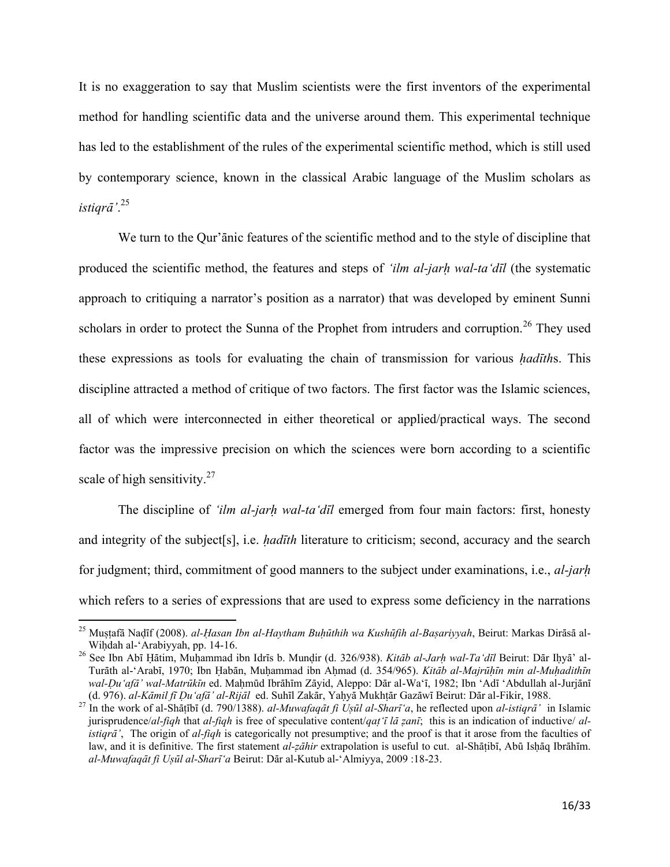It is no exaggeration to say that Muslim scientists were the first inventors of the experimental method for handling scientific data and the universe around them. This experimental technique has led to the establishment of the rules of the experimental scientific method, which is still used by contemporary science, known in the classical Arabic language of the Muslim scholars as istigr $\bar{a}$ '.<sup>25</sup>

We turn to the Qur'anic features of the scientific method and to the style of discipline that produced the scientific method, the features and steps of *'ilm al-jarh wal-ta'dīl* (the systematic approach to critiquing a narrator's position as a narrator) that was developed by eminent Sunni scholars in order to protect the Sunna of the Prophet from intruders and corruption.<sup>26</sup> They used these expressions as tools for evaluating the chain of transmission for various *hadiths*. This discipline attracted a method of critique of two factors. The first factor was the Islamic sciences, all of which were interconnected in either theoretical or applied/practical ways. The second factor was the impressive precision on which the sciences were born according to a scientific scale of high sensitivity.<sup>27</sup>

The discipline of 'ilm al-jarh wal-ta'dīl emerged from four main factors: first, honesty and integrity of the subject[s], i.e. *hadith* literature to criticism; second, accuracy and the search for judgment; third, commitment of good manners to the subject under examinations, i.e., al-jarh which refers to a series of expressions that are used to express some deficiency in the narrations

<sup>&</sup>lt;sup>25</sup> Mustafā Nadīf (2008). al-Hasan Ibn al-Haytham Buhūthih wa Kushūfih al-Bașariyyah, Beirut: Markas Dirāsā al-Wihdah al-'Arabiyyah, pp. 14-16.

<sup>&</sup>lt;sup>26</sup> See Ibn Abī Hātim, Muhammad ibn Idrīs b. Mundir (d. 326/938). Kitāb al-Jarh wal-Ta 'dīl Beirut: Dār Ihyā' al-Turāth al-'Arabī, 1970; Ibn Habān, Muhammad ibn Ahmad (d. 354/965). Kitāb al-Majrūhīn min al-Muhadithīn wal-Du'afā' wal-Matrūkīn ed. Mahmūd Ibrāhīm Zāyid, Aleppo: Dār al-Wa'ī, 1982; Ibn 'Adī 'Abdullah al-Jurjānī (d. 976). al-Kāmil fī Du'afā' al-Rijāl ed. Suhīl Zakār, Yahyā Mukhtār Gazāwī Beirut: Dār al-Fikir, 1988.

<sup>&</sup>lt;sup>27</sup> In the work of al-Shāṭībī (d. 790/1388). al-Muwafaqāt fi Usūl al-Sharī'a, he reflected upon al-istiqrā' in Islamic jurisprudence/al-fiqh that al-fiqh is free of speculative content/qat  $\bar{i}$  la zani; this is an indication of inductive/ al*istiqra*', The origin of *al-figh* is categorically not presumptive; and the proof is that it arose from the faculties of law, and it is definitive. The first statement al-zāhir extrapolation is useful to cut. al-Shāṭibī, Abū Isḥāq Ibrāhīm. al-Muwafaqāt fi Ușūl al-Sharī'a Beirut: Dār al-Kutub al-'Almiyya, 2009 :18-23.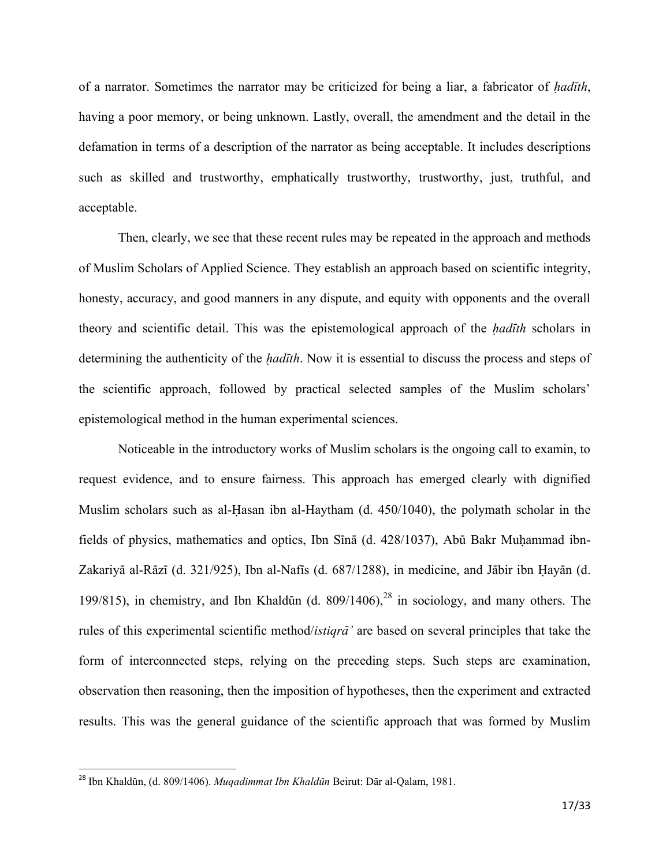of a narrator. Sometimes the narrator may be criticized for being a liar, a fabricator of *hadith*, having a poor memory, or being unknown. Lastly, overall, the amendment and the detail in the defamation in terms of a description of the narrator as being acceptable. It includes descriptions such as skilled and trustworthy, emphatically trustworthy, trustworthy, just, truthful, and acceptable.

Then, clearly, we see that these recent rules may be repeated in the approach and methods of Muslim Scholars of Applied Science. They establish an approach based on scientific integrity, honesty, accuracy, and good manners in any dispute, and equity with opponents and the overall theory and scientific detail. This was the epistemological approach of the *hadith* scholars in determining the authenticity of the *hadith*. Now it is essential to discuss the process and steps of the scientific approach, followed by practical selected samples of the Muslim scholars' epistemological method in the human experimental sciences.

Noticeable in the introductory works of Muslim scholars is the ongoing call to examin, to request evidence, and to ensure fairness. This approach has emerged clearly with dignified Muslim scholars such as al-Hasan ibn al-Haytham  $(d. 450/1040)$ , the polymath scholar in the fields of physics, mathematics and optics, Ibn Sīnā (d. 428/1037), Abū Bakr Muḥammad ibn-Zakariyā al-Rāzī (d. 321/925), Ibn al-Nafīs (d. 687/1288), in medicine, and Jābir ibn Hayān (d. 199/815), in chemistry, and Ibn Khaldūn (d. 809/1406), <sup>28</sup> in sociology, and many others. The rules of this experimental scientific method/*istiqra*<sup>2</sup> are based on several principles that take the form of interconnected steps, relying on the preceding steps. Such steps are examination, observation then reasoning, then the imposition of hypotheses, then the experiment and extracted results. This was the general guidance of the scientific approach that was formed by Muslim

<sup>&</sup>lt;sup>28</sup> Ibn Khaldūn, (d. 809/1406). *Muqadimmat Ibn Khaldūn* Beirut: Dār al-Qalam, 1981.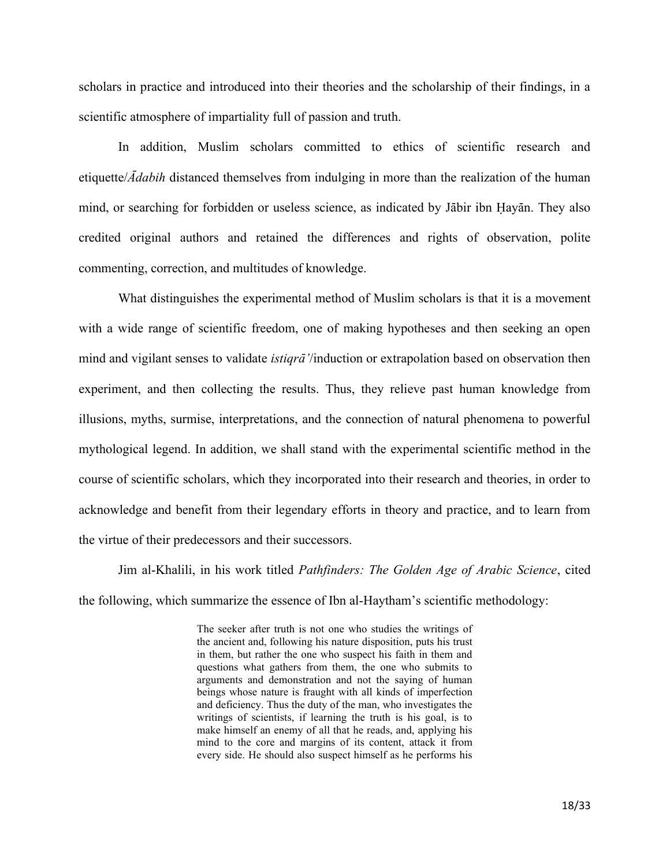scholars in practice and introduced into their theories and the scholarship of their findings, in a scientific atmosphere of impartiality full of passion and truth.

In addition, Muslim scholars committed to ethics of scientific research and etiquette/*Adabih* distanced themselves from indulging in more than the realization of the human mind, or searching for forbidden or useless science, as indicated by Jābir ibn Hayān. They also credited original authors and retained the differences and rights of observation, polite commenting, correction, and multitudes of knowledge.

What distinguishes the experimental method of Muslim scholars is that it is a movement with a wide range of scientific freedom, one of making hypotheses and then seeking an open mind and vigilant senses to validate *istiqra* '/induction or extrapolation based on observation then experiment, and then collecting the results. Thus, they relieve past human knowledge from illusions, myths, surmise, interpretations, and the connection of natural phenomena to powerful mythological legend. In addition, we shall stand with the experimental scientific method in the course of scientific scholars, which they incorporated into their research and theories, in order to acknowledge and benefit from their legendary efforts in theory and practice, and to learn from the virtue of their predecessors and their successors.

Jim al-Khalili, in his work titled *Pathfinders: The Golden Age of Arabic Science*, cited the following, which summarize the essence of Ibn al-Haytham's scientific methodology:

> The seeker after truth is not one who studies the writings of the ancient and, following his nature disposition, puts his trust in them, but rather the one who suspect his faith in them and questions what gathers from them, the one who submits to arguments and demonstration and not the saying of human beings whose nature is fraught with all kinds of imperfection and deficiency. Thus the duty of the man, who investigates the writings of scientists, if learning the truth is his goal, is to make himself an enemy of all that he reads, and, applying his mind to the core and margins of its content, attack it from every side. He should also suspect himself as he performs his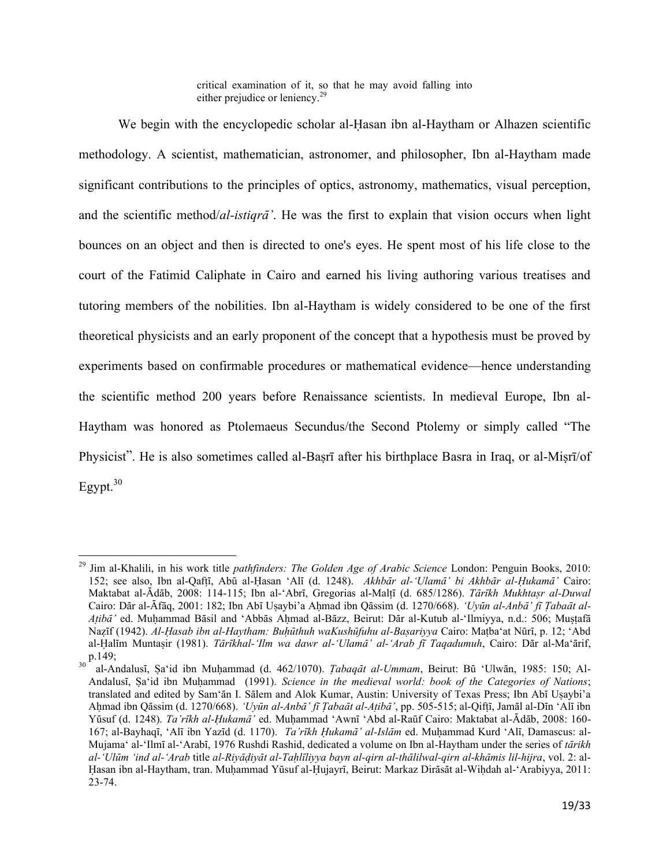critical examination of it, so that he may avoid falling into either prejudice or leniency.<sup>29</sup>

We begin with the encyclopedic scholar al-Hasan ibn al-Haytham or Alhazen scientific methodology. A scientist, mathematician, astronomer, and philosopher, Ibn al-Haytham made significant contributions to the principles of optics, astronomy, mathematics, visual perception, and the scientific method/*al-istiqra*'. He was the first to explain that vision occurs when light bounces on an object and then is directed to one's eyes. He spent most of his life close to the court of the Fatimid Caliphate in Cairo and earned his living authoring various treatises and tutoring members of the nobilities. Ibn al-Haytham is widely considered to be one of the first theoretical physicists and an early proponent of the concept that a hypothesis must be proved by experiments based on confirmable procedures or mathematical evidence—hence understanding the scientific method 200 years before Renaissance scientists. In medieval Europe, Ibn al-Haytham was honored as Ptolemaeus Secundus/the Second Ptolemy or simply called "The Physicist". He is also sometimes called al-Baṣrī after his birthplace Basra in Iraq, or al-Miṣrī/of Egypt. $30$ 

 $\overline{a}$ <sup>29</sup> Jim al-Khalili, in his work title *pathfinders: The Golden Age of Arabic Science* London: Penguin Books, 2010: 152; see also, Ibn al-QafÏÊ, AbË al-×asan 'AlÊ (d. 1248). *AkhbÉr al-'UlamÉ' bi AkhbÉr al-×ukamÉ'* Cairo: Maktabat al-Ādāb, 2008: 114-115; Ibn al-'Abrī, Gregorias al-Malțī (d. 685/1286). *Tārīkh Mukhtaṣr al-Duwal* Cairo: Dār al-Āfāq, 2001: 182; Ibn Abī Uṣaybi'a Aḥmad ibn Qāssim (d. 1270/668). 'Uyūn al-Anbā' fī Tabaāt al-*Atibā'* ed. Muhammad Bāsil and 'Abbās Ahmad al-Bāzz, Beirut: Dār al-Kutub al-'Ilmiyya, n.d.: 506; Muṣṭafā Nazīf (1942). *Al-Hasab ibn al-Haytham: Buhūthuh waKushūfuhu al-Başariyya* Cairo: Mațba'at Nūrī, p. 12; 'Abd al-×alÊm MuntaÎir (1981). *TÉrÊkhal-'Ilm wa dawr al-'UlamÉ' al-'Arab fÊ Taqadumuh*, Cairo: DÉr al-Ma'Érif,  $p.149;$ 

al-Andalusī, Şa'id ibn Muhammad (d. 462/1070). *Ţabaqāt al-Ummam*, Beirut: Bū 'Ulwān, 1985: 150; Al-Andalusī, Şa'id ibn Muhammad (1991). *Science in the medieval world: book of the Categories of Nations*; translated and edited by Sam'an I. Salem and Alok Kumar, Austin: University of Texas Press; Ibn Abī Uṣaybi'a Ahmad ibn Qāssim (d. 1270/668). 'Uyūn al-Anbā' fī Țabaāt al-Atibā', pp. 505-515; al-Qiftī, Jamāl al-Dīn 'Alī ibn Yüsuf (d. 1248). *Ta'rīkh al-Hukamā'* ed. Muhammad 'Awnī 'Abd al-Raūf Cairo: Maktabat al-Ādāb, 2008: 160-167; al-Bayhaqī, 'Alī ibn Yazīd (d. 1170). *Ta'rīkh Hukamā' al-Islām* ed. Muhammad Kurd 'Alī, Damascus: al-Mujama' al-'Ilmī al-'Arabī, 1976 Rushdi Rashid, dedicated a volume on Ibn al-Haytham under the series of *tārikh al-'UlËm 'ind al-'Arab* title *al-RiyÉÌiyÉt al-TaÍlÊliyya bayn al-qirn al-thÉlilwal-qirn al-khÉmis lil-hijra*, vol. 2: al- Hasan ibn al-Haytham, tran. Muḥammad Yūsuf al-Ḥujayrī, Beirut: Markaz Dirāsāt al-Wiḥdah al-'Arabiyya, 2011: 23-74.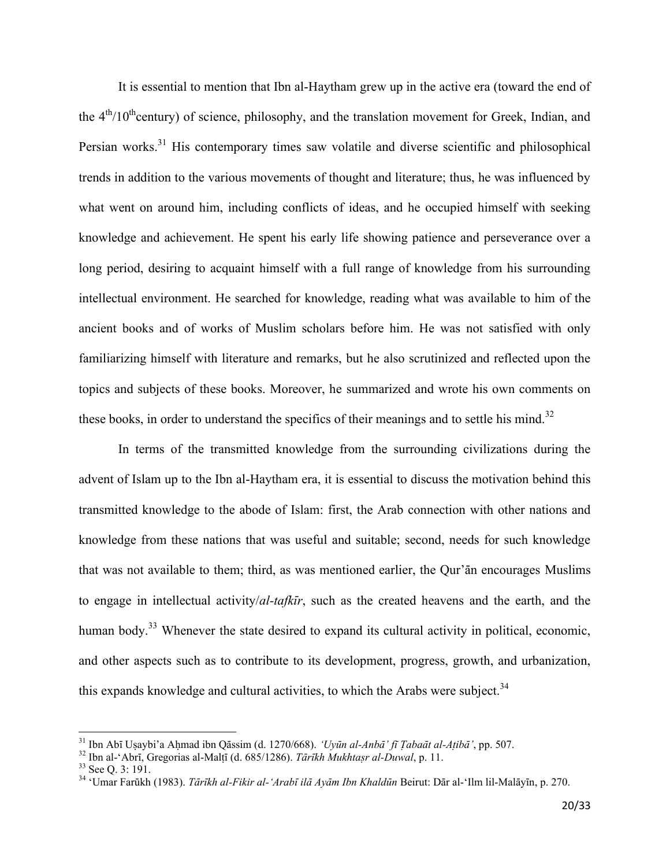It is essential to mention that Ibn al-Haytham grew up in the active era (toward the end of the  $4<sup>th</sup>/10<sup>th</sup>$ century) of science, philosophy, and the translation movement for Greek, Indian, and Persian works.<sup>31</sup> His contemporary times saw volatile and diverse scientific and philosophical trends in addition to the various movements of thought and literature; thus, he was influenced by what went on around him, including conflicts of ideas, and he occupied himself with seeking knowledge and achievement. He spent his early life showing patience and perseverance over a long period, desiring to acquaint himself with a full range of knowledge from his surrounding intellectual environment. He searched for knowledge, reading what was available to him of the ancient books and of works of Muslim scholars before him. He was not satisfied with only familiarizing himself with literature and remarks, but he also scrutinized and reflected upon the topics and subjects of these books. Moreover, he summarized and wrote his own comments on these books, in order to understand the specifics of their meanings and to settle his mind.<sup>32</sup>

In terms of the transmitted knowledge from the surrounding civilizations during the advent of Islam up to the Ibn al-Haytham era, it is essential to discuss the motivation behind this transmitted knowledge to the abode of Islam: first, the Arab connection with other nations and knowledge from these nations that was useful and suitable; second, needs for such knowledge that was not available to them; third, as was mentioned earlier, the Qur'an encourages Muslims to engage in intellectual activity/al-tafkir, such as the created heavens and the earth, and the human body.<sup>33</sup> Whenever the state desired to expand its cultural activity in political, economic, and other aspects such as to contribute to its development, progress, growth, and urbanization, this expands knowledge and cultural activities, to which the Arabs were subject.<sup>34</sup>

<sup>&</sup>lt;sup>31</sup> Ibn Abī Uṣaybi'a Aḥmad ibn Qāssim (d. 1270/668). 'Uyūn al-Anbā' fī Ţabaāt al-Atibā', pp. 507.

<sup>&</sup>lt;sup>32</sup> Ibn al-'Abri, Gregorias al-Malti (d. 685/1286). Tārīkh Mukhtasr al-Duwal, p. 11.

<sup>&</sup>lt;sup>33</sup> See Q. 3: 191.

<sup>&</sup>lt;sup>34</sup> 'Umar Farūkh (1983). *Tārīkh al-Fikir al-'Arabī ilā Ayām Ibn Khaldūn* Beirut: Dār al-'Ilm lil-Malāyīn, p. 270.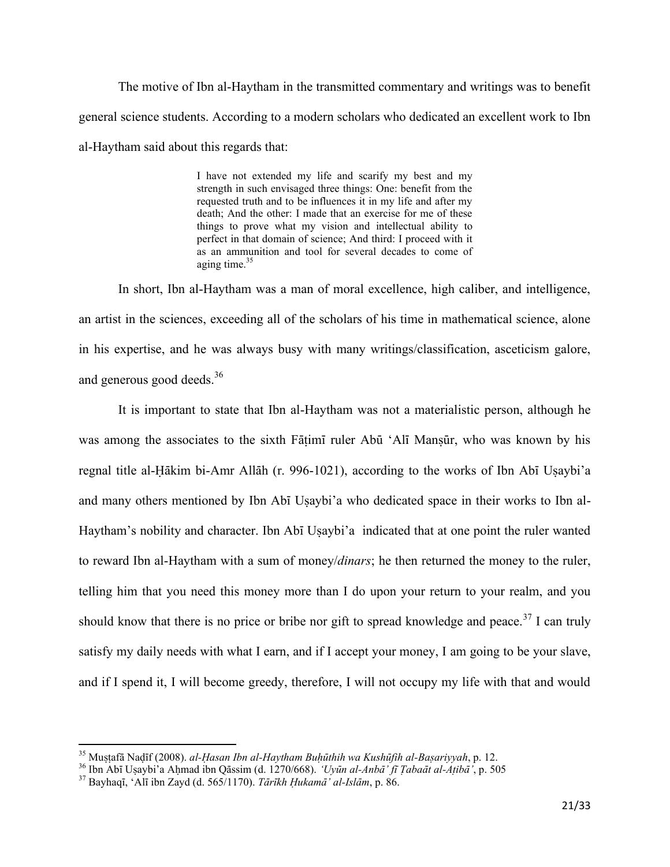The motive of Ibn al-Haytham in the transmitted commentary and writings was to benefit general science students. According to a modern scholars who dedicated an excellent work to Ibn al-Haytham said about this regards that:

> I have not extended my life and scarify my best and my strength in such envisaged three things: One: benefit from the requested truth and to be influences it in my life and after my death; And the other: I made that an exercise for me of these things to prove what my vision and intellectual ability to perfect in that domain of science; And third: I proceed with it as an ammunition and tool for several decades to come of aging time. $35$

In short, Ibn al-Haytham was a man of moral excellence, high caliber, and intelligence, an artist in the sciences, exceeding all of the scholars of his time in mathematical science, alone in his expertise, and he was always busy with many writings/classification, asceticism galore, and generous good deeds.<sup>36</sup>

It is important to state that Ibn al-Haytham was not a materialistic person, although he was among the associates to the sixth Fāṭimī ruler Abū 'Alī Manṣūr, who was known by his regnal title al-Hākim bi-Amr Allāh (r. 996-1021), according to the works of Ibn Abī Usaybi'a and many others mentioned by Ibn Abī Usaybi'a who dedicated space in their works to Ibn al-Haytham's nobility and character. Ibn Abī Usaybi'a indicated that at one point the ruler wanted to reward Ibn al-Haytham with a sum of money/*dinars*; he then returned the money to the ruler, telling him that you need this money more than I do upon your return to your realm, and you should know that there is no price or bribe nor gift to spread knowledge and peace.<sup>37</sup> I can truly satisfy my daily needs with what I earn, and if I accept your money, I am going to be your slave, and if I spend it, I will become greedy, therefore, I will not occupy my life with that and would

<sup>&</sup>lt;sup>35</sup> Mustafā Nadīf (2008). *al-Hasan Ibn al-Haytham Buhūthih wa Kushūfih al-Basariyyah*, p. 12.

<sup>&</sup>lt;sup>36</sup> Ibn Abī Uṣaybi'a Aḥmad ibn Qāssim (d. 1270/668). *'Uyūn al-Anbā' fī Ţabaāt al-Aṭibā'*, p. 505

 $37$  Bayhaqī, 'Alī ibn Zayd (d. 565/1170). *Tārīkh Hukamā' al-Islām*, p. 86.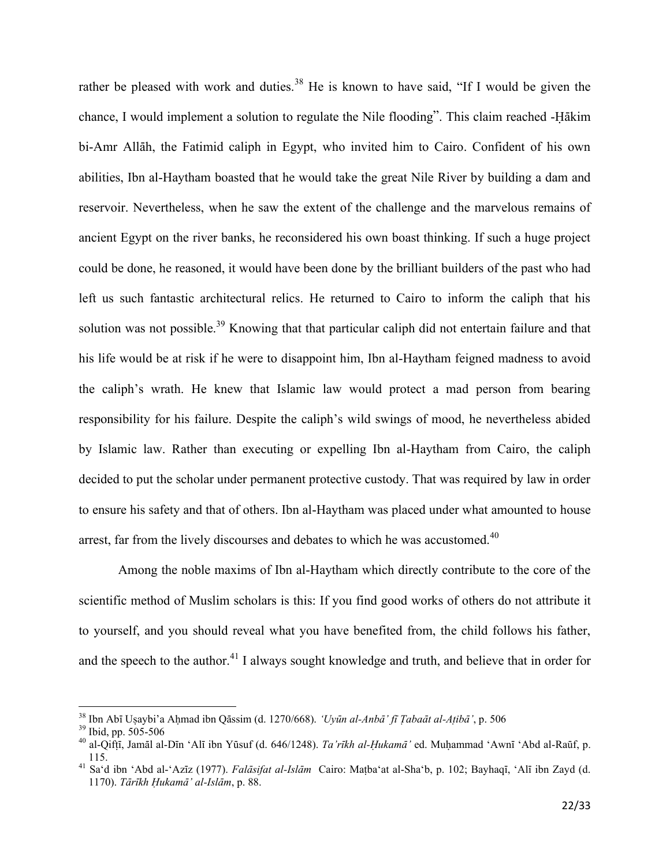rather be pleased with work and duties.<sup>38</sup> He is known to have said, "If I would be given the chance, I would implement a solution to regulate the Nile flooding". This claim reached -Hākim bi-Amr Allāh, the Fatimid caliph in Egypt, who invited him to Cairo. Confident of his own abilities, Ibn al-Haytham boasted that he would take the great Nile River by building a dam and reservoir. Nevertheless, when he saw the extent of the challenge and the marvelous remains of ancient Egypt on the river banks, he reconsidered his own boast thinking. If such a huge project could be done, he reasoned, it would have been done by the brilliant builders of the past who had left us such fantastic architectural relics. He returned to Cairo to inform the caliph that his solution was not possible.<sup>39</sup> Knowing that that particular caliph did not entertain failure and that his life would be at risk if he were to disappoint him, Ibn al-Haytham feigned madness to avoid the caliph's wrath. He knew that Islamic law would protect a mad person from bearing responsibility for his failure. Despite the caliph's wild swings of mood, he nevertheless abided by Islamic law. Rather than executing or expelling Ibn al-Haytham from Cairo, the caliph decided to put the scholar under permanent protective custody. That was required by law in order to ensure his safety and that of others. Ibn al-Haytham was placed under what amounted to house arrest, far from the lively discourses and debates to which he was accustomed.<sup>40</sup>

Among the noble maxims of Ibn al-Haytham which directly contribute to the core of the scientific method of Muslim scholars is this: If you find good works of others do not attribute it to yourself, and you should reveal what you have benefited from, the child follows his father, and the speech to the author.<sup>41</sup> I always sought knowledge and truth, and believe that in order for

l

<sup>&</sup>lt;sup>38</sup> Ibn Abī Uṣaybi'a Aḥmad ibn Qāssim (d. 1270/668). *'Uyūn al-Anbā' fī Ṭabaāt al-Aṭibā'*, p. 506

<sup>39</sup> Ibid, pp. 505-506

<sup>&</sup>lt;sup>40</sup> al-Qiftī, Jamāl al-Dīn 'Alī ibn Yūsuf (d. 646/1248). *Ta'rīkh al-Hukamā'* ed. Muhammad 'Awnī 'Abd al-Raūf, p. 115.

<sup>&</sup>lt;sup>41</sup> Sa'd ibn 'Abd al-'Azīz (1977). *Falāsifat al-Islām* Cairo: Maṭba'at al-Sha'b, p. 102; Bayhaqī, 'Alī ibn Zayd (d. 1170). *Tārīkh Hukamā' al-Islām*, p. 88.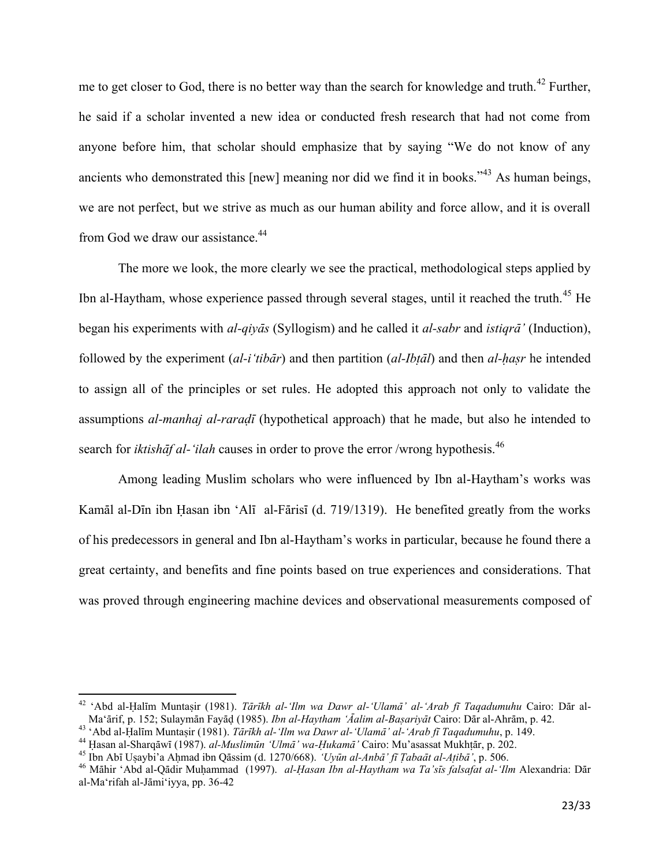me to get closer to God, there is no better way than the search for knowledge and truth.<sup>42</sup> Further, he said if a scholar invented a new idea or conducted fresh research that had not come from anyone before him, that scholar should emphasize that by saying "We do not know of any ancients who demonstrated this [new] meaning nor did we find it in books."<sup>43</sup> As human beings, we are not perfect, but we strive as much as our human ability and force allow, and it is overall from God we draw our assistance.<sup>44</sup>

The more we look, the more clearly we see the practical, methodological steps applied by Ibn al-Haytham, whose experience passed through several stages, until it reached the truth.<sup>45</sup> He began his experiments with *al-qiyās* (Syllogism) and he called it *al-sabr* and *istiqrā*' (Induction), followed by the experiment (*al-i'tibār*) and then partition (*al-Ibțāl*) and then *al-hasr* he intended to assign all of the principles or set rules. He adopted this approach not only to validate the assumptions *al-manhaj al-raradī* (hypothetical approach) that he made, but also he intended to search for *iktishaf al-'ilah* causes in order to prove the error /wrong hypothesis.<sup>46</sup>

Among leading Muslim scholars who were influenced by Ibn al-Haytham's works was Kamāl al-Dīn ibn Hasan ibn 'Alī al-Fārisī (d. 719/1319). He benefited greatly from the works of his predecessors in general and Ibn al-Haytham's works in particular, because he found there a great certainty, and benefits and fine points based on true experiences and considerations. That was proved through engineering machine devices and observational measurements composed of

<sup>&</sup>lt;sup>42</sup> 'Abd al-Ḥalīm Muntaṣir (1981). *Tārīkh al-'Ilm wa Dawr al-'Ulamā' al-'Arab fī Taqadumuhu* Cairo: Dār al-Ma'ārif, p. 152; Sulaymān Fayād (1985). *Ibn al-Haytham 'Áalim al-Basariyāt* Cairo: Dār al-Ahrām, p. 42.

<sup>&</sup>lt;sup>43</sup> 'Abd al-Halīm Muntasir (1981). *Tārīkh al-'Ilm wa Dawr al-'Ulamā' al-'Arab fī Taqadumuhu*, p. 149.

<sup>&</sup>lt;sup>44</sup> Hasan al-Sharqāwī (1987). *al-Muslimūn 'Ulmā' wa-Hukamā'* Cairo: Mu'asassat Mukhtār, p. 202.

<sup>&</sup>lt;sup>45</sup> Ibn Abī Uṣaybi'a Aḥmad ibn Qāssim (d. 1270/668). *'Uyūn al-Anbā' fī Tabaāt al-Atibā'*, p. 506.

<sup>&</sup>lt;sup>46</sup> Māhir 'Abd al-Qādir Muḥammad (1997). *al-Ḥasan Ibn al-Haytham wa Ta'sīs falsafat al-'Ilm* Alexandria: Dār al-Ma'rifah al-Jāmi'iyya, pp. 36-42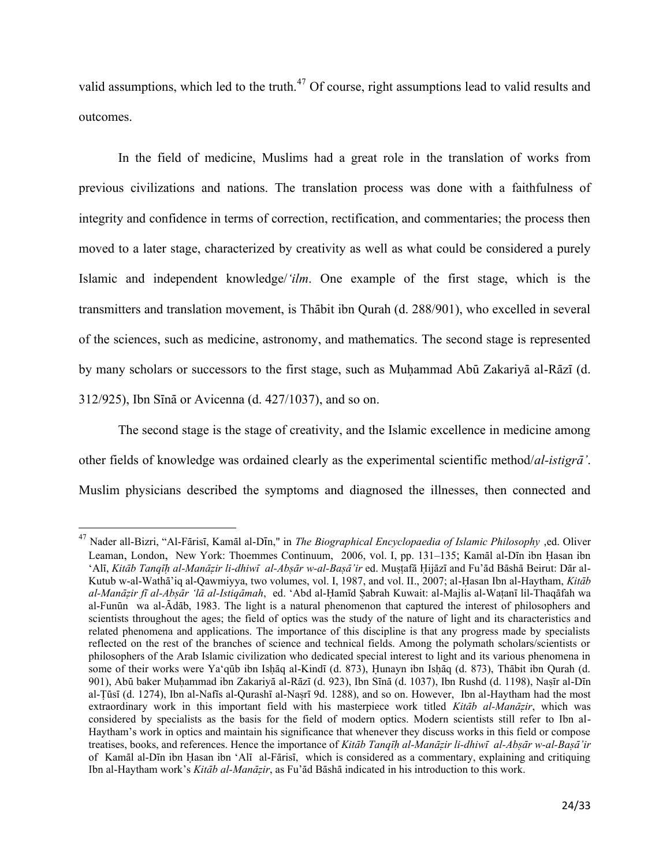valid assumptions, which led to the truth.<sup>47</sup> Of course, right assumptions lead to valid results and outcomes.

In the field of medicine, Muslims had a great role in the translation of works from previous civilizations and nations. The translation process was done with a faithfulness of integrity and confidence in terms of correction, rectification, and commentaries; the process then moved to a later stage, characterized by creativity as well as what could be considered a purely Islamic and independent knowledge/'*ilm*. One example of the first stage, which is the transmitters and translation movement, is Thabit ibn Qurah (d. 288/901), who excelled in several of the sciences, such as medicine, astronomy, and mathematics. The second stage is represented by many scholars or successors to the first stage, such as Muhammad Abū Zakariyā al-Rāzī (d. 312/925), Ibn Sīnā or Avicenna (d. 427/1037), and so on.

The second stage is the stage of creativity, and the Islamic excellence in medicine among other fields of knowledge was ordained clearly as the experimental scientific method/al-istigra'. Muslim physicians described the symptoms and diagnosed the illnesses, then connected and

<sup>&</sup>lt;sup>47</sup> Nader all-Bizri, "Al-Fārisī, Kamāl al-Dīn," in *The Biographical Encyclopaedia of Islamic Philosophy*, ed. Oliver Leaman, London, New York: Thoemmes Continuum, 2006, vol. I, pp. 131–135; Kamal al-Din ibn Hasan ibn 'Alī, Kitāb Tanqīh al-Manāzir li-dhiwī al-Absār w-al-Basā'ir ed. Mustafā Hijāzī and Fu'ād Bāshā Beirut: Dār al-Kutub w-al-Watha'iq al-Oawmiyya, two volumes, vol. I, 1987, and vol. II., 2007; al-Hasan Ibn al-Haytham, Kitāb al-Manāzir fī al-Absār 'lā al-Istigāmah, ed. 'Abd al-Hamīd Sabrah Kuwait: al-Majlis al-Watanī lil-Thaqāfah wa al-Funūn wa al-Ādāb, 1983. The light is a natural phenomenon that captured the interest of philosophers and scientists throughout the ages; the field of optics was the study of the nature of light and its characteristics and related phenomena and applications. The importance of this discipline is that any progress made by specialists reflected on the rest of the branches of science and technical fields. Among the polymath scholars/scientists or philosophers of the Arab Islamic civilization who dedicated special interest to light and its various phenomena in some of their works were Ya'qūb ibn Ishāq al-Kindī (d. 873), Hunayn ibn Ishāq (d. 873), Thābit ibn Qurah (d. 901), Abū baker Muhammad ibn Zakariyā al-Rāzī (d. 923), Ibn Sīnā (d. 1037), Ibn Rushd (d. 1198), Naṣīr al-Dīn al-Tūsī (d. 1274), Ibn al-Nafīs al-Qurashī al-Nasrī 9d. 1288), and so on. However, Ibn al-Haytham had the most extraordinary work in this important field with his masterpiece work titled Kitab al-Manazir, which was considered by specialists as the basis for the field of modern optics. Modern scientists still refer to Ibn al-Haytham's work in optics and maintain his significance that whenever they discuss works in this field or compose treatises, books, and references. Hence the importance of Kitab Tangih al-Manāzir li-dhiwī al-Absār w-al-Basā'ir of Kamāl al-Dīn ibn Hasan ibn 'Alī al-Fārisī, which is considered as a commentary, explaining and critiquing Ibn al-Haytham work's Kitāb al-Manāzir, as Fu'ād Bāshā indicated in his introduction to this work.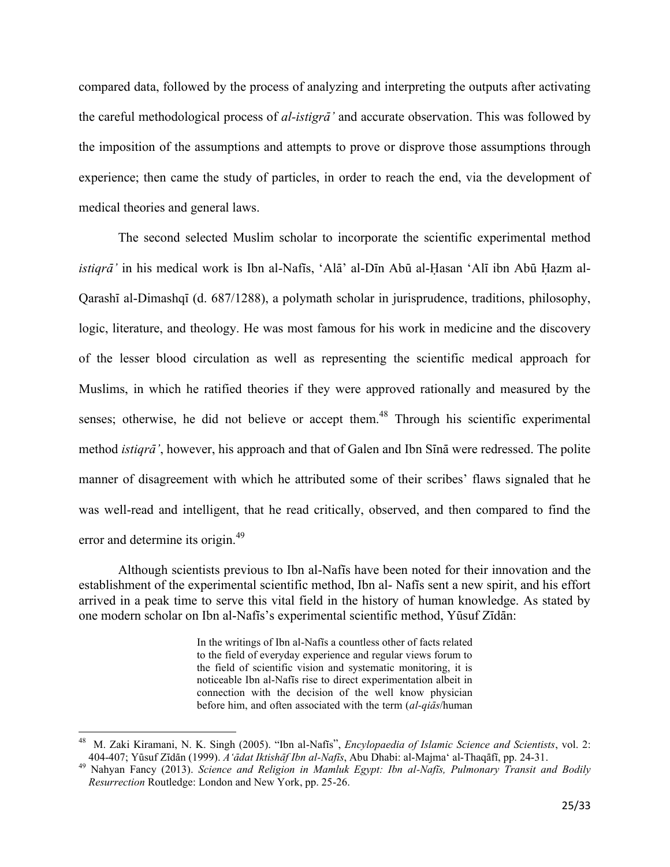compared data, followed by the process of analyzing and interpreting the outputs after activating the careful methodological process of *al-istigra* and accurate observation. This was followed by the imposition of the assumptions and attempts to prove or disprove those assumptions through experience; then came the study of particles, in order to reach the end, via the development of medical theories and general laws.

The second selected Muslim scholar to incorporate the scientific experimental method *istiqrā*' in his medical work is Ibn al-Nafīs, 'Alā' al-Dīn Abū al-Hasan 'Alī ibn Abū Hazm al-Qarashī al-Dimashqī (d. 687/1288), a polymath scholar in jurisprudence, traditions, philosophy, logic, literature, and theology. He was most famous for his work in medicine and the discovery of the lesser blood circulation as well as representing the scientific medical approach for Muslims, in which he ratified theories if they were approved rationally and measured by the senses; otherwise, he did not believe or accept them.<sup>48</sup> Through his scientific experimental method *istiqrā'*, however, his approach and that of Galen and Ibn Sinā were redressed. The polite manner of disagreement with which he attributed some of their scribes' flaws signaled that he was well-read and intelligent, that he read critically, observed, and then compared to find the error and determine its origin.<sup>49</sup>

Although scientists previous to Ibn al-Naffs have been noted for their innovation and the establishment of the experimental scientific method, Ibn al-Nafis sent a new spirit, and his effort arrived in a peak time to serve this vital field in the history of human knowledge. As stated by one modern scholar on Ibn al-Nafīs's experimental scientific method, Yūsuf Zīdān:

> In the writings of Ibn al-Nafis a countless other of facts related to the field of everyday experience and regular views forum to the field of scientific vision and systematic monitoring, it is noticeable Ibn al-Nafis rise to direct experimentation albeit in connection with the decision of the well know physician before him, and often associated with the term (*al-qiās*/human

<sup>48</sup> M. Zaki Kiramani, N. K. Singh (2005). "Ibn al-Nafīs", *Encylopaedia of Islamic Science and Scientists*, vol. 2: 404-407; Yūsuf Zīdān (1999). *A'ādat Iktishāf Ibn al-Nafīs*, Abu Dhabi: al-Majma' al-Thaqāfī, pp. 24-31.

<sup>&</sup>lt;sup>49</sup> Nahyan Fancy (2013). *Science and Religion in Mamluk Egypt: Ibn al-Nafis, Pulmonary Transit and Bodily Resurrection* Routledge: London and New York, pp. 25-26.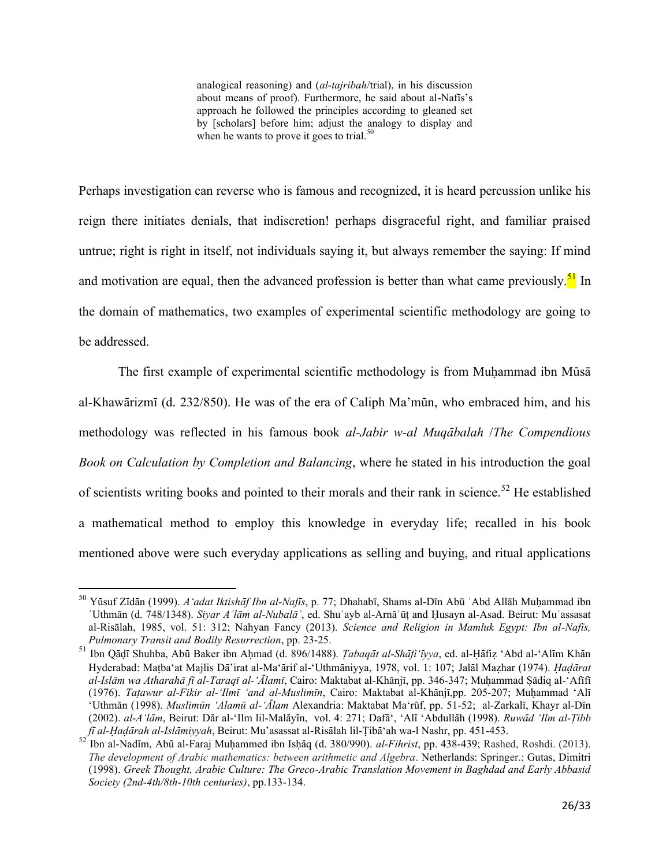analogical reasoning) and (*al-tajribah*/trial), in his discussion about means of proof). Furthermore, he said about al-Nafis's approach he followed the principles according to gleaned set by [scholars] before him; adjust the analogy to display and when he wants to prove it goes to trial.<sup>50</sup>

Perhaps investigation can reverse who is famous and recognized, it is heard percussion unlike his reign there initiates denials, that indiscretion! perhaps disgraceful right, and familiar praised untrue; right is right in itself, not individuals saying it, but always remember the saying: If mind and motivation are equal, then the advanced profession is better than what came previously.<sup>51</sup> In the domain of mathematics, two examples of experimental scientific methodology are going to be addressed.

The first example of experimental scientific methodology is from Muhammad ibn Mūsā al-Khawārizmī (d. 232/850). He was of the era of Caliph Ma'mūn, who embraced him, and his methodology was reflected in his famous book *al-Jabir w-al MuqÉbalah* /*The Compendious Book on Calculation by Completion and Balancing*, where he stated in his introduction the goal of scientists writing books and pointed to their morals and their rank in science.<sup>52</sup> He established a mathematical method to employ this knowledge in everyday life; recalled in his book mentioned above were such everyday applications as selling and buying, and ritual applications

<sup>&</sup>lt;sup>50</sup> Yūsuf Zīdān (1999). *A'adat Iktishāf Ibn al-Nafīs*, p. 77; Dhahabī, Shams al-Dīn Abū ʿAbd Allāh Muḥammad ibn ʿUthmān (d. 748/1348). *Siyar Aʿlām al-Nubalāʾ*, ed. Shuʿayb al-Arnāʾūṭ and Ḥusayn al-Asad. Beirut: Muʾassasat al-Risālah, 1985, vol. 51: 312; Nahyan Fancy (2013). *Science and Religion in Mamluk Egypt: Ibn al-Nafūs*, *Pulmonary Transit and Bodily Resurrection*, pp. 23-25.

<sup>&</sup>lt;sup>51</sup> Ibn Qādī Shuhba, Abū Baker ibn Ahmad (d. 896/1488). *Tabaqāt al-Shāfi 'īyya*, ed. al-Ḥāfiẓ 'Abd al-'Alīm Khān Hyderabad: Matba'at Mailis Dā'irat al-Ma'ārif al-'Uthmāniyya, 1978, vol. 1: 107; Jalāl Mazhar (1974). *Hadārat* al-Islām wa Atharahā fī al-Taraqī al-'Ālamī, Cairo: Maktabat al-Khānjī, pp. 346-347; Muḥammad Ṣādiq al-'Afīfī (1976). *Tatawur al-Fikir al-'Ilmī 'and al-Muslimīn*, Cairo: Maktabat al-Khānjī,pp. 205-207; Muhammad 'Alī 'Uthmān (1998). *Muslimūn 'Alamū al-'Álam* Alexandria: Maktabat Ma'rūf, pp. 51-52; al-Zarkalī, Khayr al-Dīn (2002). *al-A'lām*, Beirut: Dār al-'Ilm lil-Malāyīn, vol. 4: 271; Dafā', 'Alī 'Abdullāh (1998). *Ruwād 'Ilm al-Ţibb fī al-Haḍārah al-Islāmiyyah*, Beirut: Mu'asassat al-Risālah lil-Țibā'ah wa-l Nashr, pp. 451-453.

Ibn al-Nadīm, Abū al-Faraj Muḥammed ibn Isḥāq (d. 380/990). *al-Fihrist*, pp. 438-439; Rashed, Roshdi. (2013). *The development of Arabic mathematics: between arithmetic and Algebra*. Netherlands: Springer.; Gutas, Dimitri (1998). *Greek Thought, Arabic Culture: The Greco-Arabic Translation Movement in Baghdad and Early Abbasid Society (2nd-4th/8th-10th centuries)*, pp.133-134.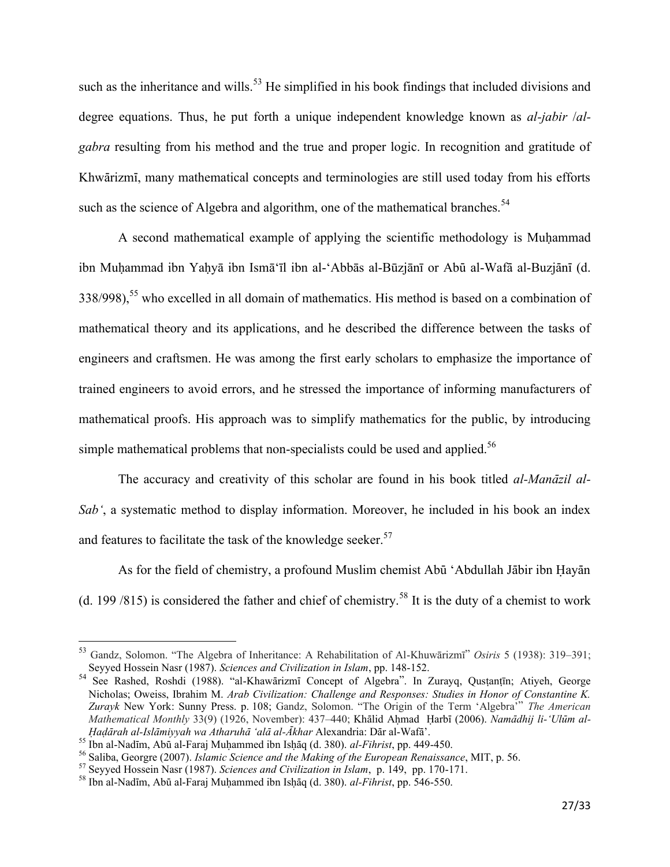such as the inheritance and wills.<sup>53</sup> He simplified in his book findings that included divisions and degree equations. Thus, he put forth a unique independent knowledge known as *al-jabir* /*algabra* resulting from his method and the true and proper logic. In recognition and gratitude of Khwārizmī, many mathematical concepts and terminologies are still used today from his efforts such as the science of Algebra and algorithm, one of the mathematical branches.<sup>54</sup>

A second mathematical example of applying the scientific methodology is Muḥammad ibn Muḥammad ibn Yaḥyā ibn Ismā'īl ibn al-'Abbās al-Būzjānī or Abū al-Wafā al-Buzjānī (d.  $338/998$ ),<sup>55</sup> who excelled in all domain of mathematics. His method is based on a combination of mathematical theory and its applications, and he described the difference between the tasks of engineers and craftsmen. He was among the first early scholars to emphasize the importance of trained engineers to avoid errors, and he stressed the importance of informing manufacturers of mathematical proofs. His approach was to simplify mathematics for the public, by introducing simple mathematical problems that non-specialists could be used and applied.<sup>56</sup>

The accuracy and creativity of this scholar are found in his book titled *al-Manāzil al-Sab'*, a systematic method to display information. Moreover, he included in his book an index and features to facilitate the task of the knowledge seeker. $57$ 

As for the field of chemistry, a profound Muslim chemist Abū 'Abdullah Jābir ibn Ḥayān (d. 199/815) is considered the father and chief of chemistry.<sup>58</sup> It is the duty of a chemist to work

<sup>53</sup> Gandz, Solomon. "The Algebra of Inheritance: A Rehabilitation of Al-Khuwārizmī" *Osiris* 5 (1938): 319–391; Seyyed Hossein Nasr (1987). *Sciences and Civilization in Islam*, pp. 148-152.

<sup>&</sup>lt;sup>54</sup> See Rashed, Roshdi (1988). "al-Khawārizmī Concept of Algebra". In Zurayq, Qusṭanṭīn; Atiyeh, George Nicholas; Oweiss, Ibrahim M. *Arab Civilization: Challenge and Responses: Studies in Honor of Constantine K. Zurayk* New York: Sunny Press. p. 108; Gandz, Solomon. "The Origin of the Term 'Algebra'" *The American Mathematical Monthly* 33(9) (1926, November): 437–440; Khālid Ahmad Harbī (2006). *Namādhij li-'Ulūm al-×aÌÉrah al-IslÉmiyyah wa AtharuhÉ 'alÉ al-Ókhar* Alexandria: DÉr al-WafÉ'.

<sup>55</sup> Ibn al-Nadīm, Abū al-Faraj Muḥammed ibn Isḥāq (d. 380). *al-Fihrist*, pp. 449-450.

<sup>56</sup> Saliba, Georgre (2007). *Islamic Science and the Making of the European Renaissance*, MIT, p. 56.

<sup>57</sup> Seyyed Hossein Nasr (1987). *Sciences and Civilization in Islam*, p. 149, pp. 170-171.

<sup>&</sup>lt;sup>58</sup> Ibn al-Nadīm, Abū al-Faraj Muhammed ibn Ishāq (d. 380). *al-Fihrist*, pp. 546-550.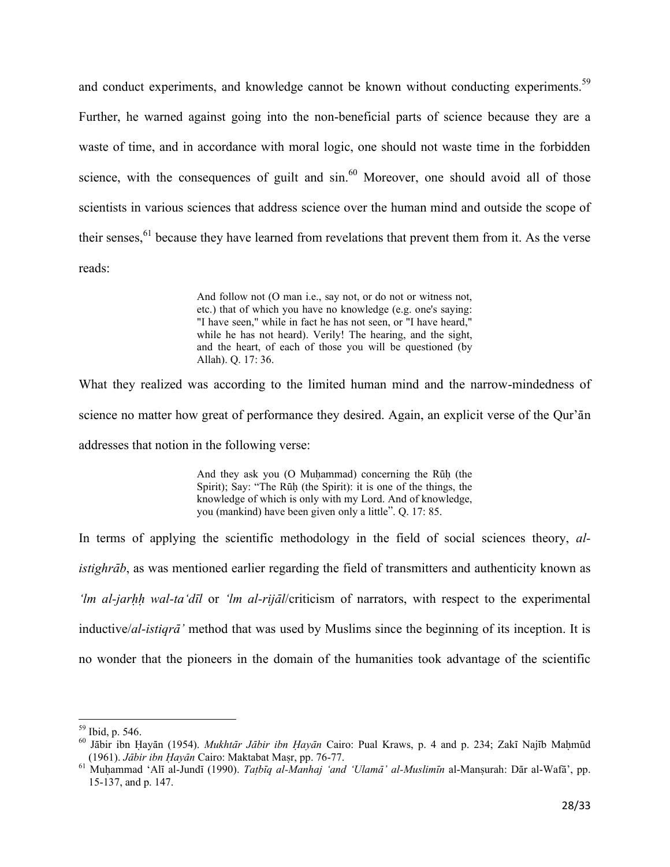and conduct experiments, and knowledge cannot be known without conducting experiments.<sup>59</sup> Further, he warned against going into the non-beneficial parts of science because they are a waste of time, and in accordance with moral logic, one should not waste time in the forbidden science, with the consequences of guilt and  $sin<sup>60</sup>$  Moreover, one should avoid all of those scientists in various sciences that address science over the human mind and outside the scope of their senses,<sup>61</sup> because they have learned from revelations that prevent them from it. As the verse reads:

> And follow not (O man i.e., say not, or do not or witness not, etc.) that of which you have no knowledge (e.g. one's saying: "I have seen," while in fact he has not seen, or "I have heard," while he has not heard). Verily! The hearing, and the sight, and the heart, of each of those you will be questioned (by Allah). Q. 17: 36.

What they realized was according to the limited human mind and the narrow-mindedness of science no matter how great of performance they desired. Again, an explicit verse of the Qur'an addresses that notion in the following verse:

> And they ask you (O Muhammad) concerning the Ruh (the Spirit); Say: "The Rūḥ (the Spirit): it is one of the things, the knowledge of which is only with my Lord. And of knowledge, you (mankind) have been given only a little". Q. 17: 85.

In terms of applying the scientific methodology in the field of social sciences theory, *alistighrāb*, as was mentioned earlier regarding the field of transmitters and authenticity known as *'lm al-jarhh wal-ta'dīl* or *'lm al-rijāl*/criticism of narrators, with respect to the experimental inductive/*al-istiqrā*' method that was used by Muslims since the beginning of its inception. It is no wonder that the pioneers in the domain of the humanities took advantage of the scientific

 $\overline{a}$ 

 $59$  Ibid, p. 546.

<sup>&</sup>lt;sup>60</sup> Jābir ibn Hayān (1954). *Mukhtār Jābir ibn Ḥayān* Cairo: Pual Kraws, p. 4 and p. 234; Zakī Najīb Mahmūd (1961). *Jābir ibn Hayān* Cairo: Maktabat Masr, pp. 76-77.

<sup>&</sup>lt;sup>61</sup> Muhammad 'Alī al-Jundī (1990). *Tatbīq al-Manhaj 'and 'Ulamā' al-Muslimīn* al-Manṣurah: Dār al-Wafā', pp. 15-137, and p. 147.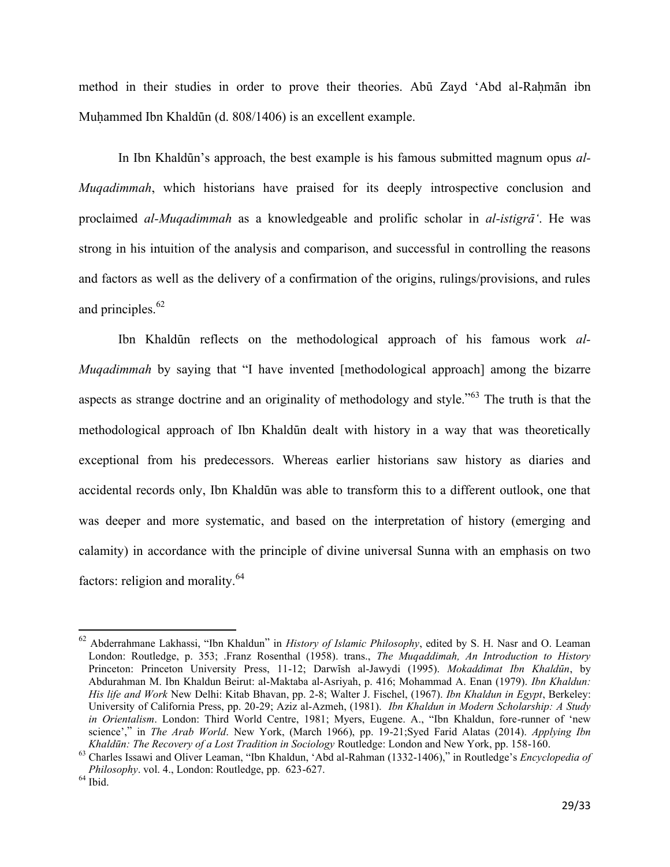method in their studies in order to prove their theories. Abū Zayd 'Abd al-Rahmān ibn Muhammed Ibn Khaldūn (d. 808/1406) is an excellent example.

In Ibn KhaldËn's approach, the best example is his famous submitted magnum opus *al-Muqadimmah*, which historians have praised for its deeply introspective conclusion and proclaimed *al-Muqadimmah* as a knowledgeable and prolific scholar in *al-istigrɑ*. He was strong in his intuition of the analysis and comparison, and successful in controlling the reasons and factors as well as the delivery of a confirmation of the origins, rulings/provisions, and rules and principles.<sup>62</sup>

Ibn Khaldūn reflects on the methodological approach of his famous work *al*-*Muqadimmah* by saying that "I have invented [methodological approach] among the bizarre aspects as strange doctrine and an originality of methodology and style."<sup>63</sup> The truth is that the methodological approach of Ibn KhaldËn dealt with history in a way that was theoretically exceptional from his predecessors. Whereas earlier historians saw history as diaries and accidental records only, Ibn Khaldūn was able to transform this to a different outlook, one that was deeper and more systematic, and based on the interpretation of history (emerging and calamity) in accordance with the principle of divine universal Sunna with an emphasis on two factors: religion and morality.<sup>64</sup>

l

<sup>62</sup> Abderrahmane Lakhassi, "Ibn Khaldun" in *History of Islamic Philosophy*, edited by S. H. Nasr and O. Leaman London: Routledge, p. 353; .Franz Rosenthal (1958). trans., *The Muqaddimah, An Introduction to History*  Princeton: Princeton University Press, 11-12; Darwīsh al-Jawydi (1995). *Mokaddimat Ibn Khaldūn*, by Abdurahman M. Ibn Khaldun Beirut: al-Maktaba al-Asriyah, p. 416; Mohammad A. Enan (1979). *Ibn Khaldun: His life and Work* New Delhi: Kitab Bhavan, pp. 2-8; Walter J. Fischel, (1967). *Ibn Khaldun in Egypt*, Berkeley: University of California Press, pp. 20-29; Aziz al-Azmeh, (1981). *Ibn Khaldun in Modern Scholarship: A Study in Orientalism*. London: Third World Centre, 1981; Myers, Eugene. A., "Ibn Khaldun, fore-runner of 'new science'," in *The Arab World*. New York, (March 1966), pp. 19-21;Syed Farid Alatas (2014). *Applying Ibn Khaldūn: The Recovery of a Lost Tradition in Sociology* Routledge: London and New York, pp. 158-160.

<sup>63</sup> Charles Issawi and Oliver Leaman, "Ibn Khaldun, 'Abd al-Rahman (1332-1406)," in Routledge's *Encyclopedia of Philosophy*. vol. 4., London: Routledge, pp. 623-627.

 $\,$   $^{64}$  Ibid.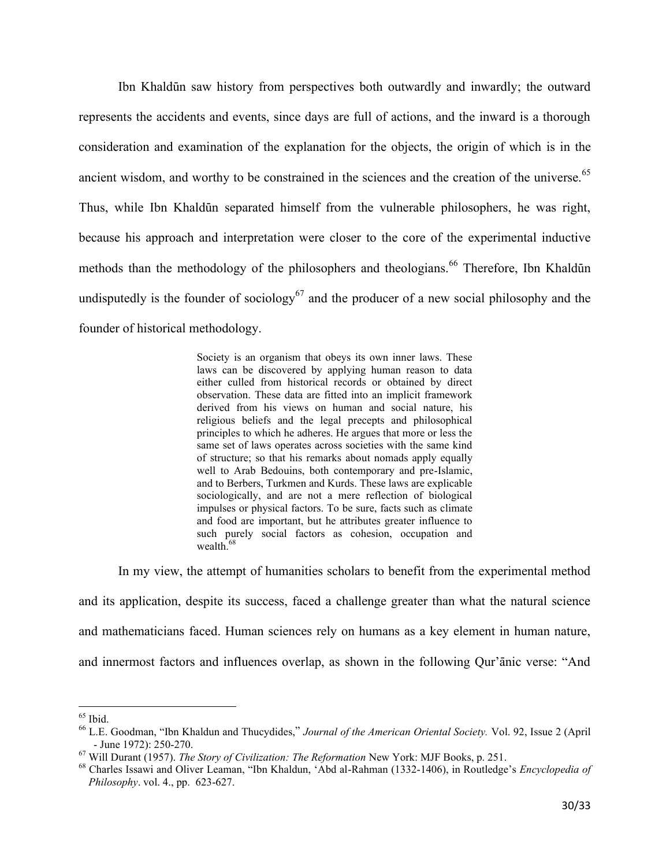Ibn KhaldËn saw history from perspectives both outwardly and inwardly; the outward represents the accidents and events, since days are full of actions, and the inward is a thorough consideration and examination of the explanation for the objects, the origin of which is in the ancient wisdom, and worthy to be constrained in the sciences and the creation of the universe.<sup>65</sup> Thus, while Ibn KhaldËn separated himself from the vulnerable philosophers, he was right, because his approach and interpretation were closer to the core of the experimental inductive methods than the methodology of the philosophers and theologians.<sup>66</sup> Therefore, Ibn Khaldūn undisputedly is the founder of sociology<sup>67</sup> and the producer of a new social philosophy and the founder of historical methodology.

> Society is an organism that obeys its own inner laws. These laws can be discovered by applying human reason to data either culled from historical records or obtained by direct observation. These data are fitted into an implicit framework derived from his views on human and social nature, his religious beliefs and the legal precepts and philosophical principles to which he adheres. He argues that more or less the same set of laws operates across societies with the same kind of structure; so that his remarks about nomads apply equally well to Arab Bedouins, both contemporary and pre-Islamic, and to Berbers, Turkmen and Kurds. These laws are explicable sociologically, and are not a mere reflection of biological impulses or physical factors. To be sure, facts such as climate and food are important, but he attributes greater influence to such purely social factors as cohesion, occupation and wealth.<sup>68</sup>

In my view, the attempt of humanities scholars to benefit from the experimental method and its application, despite its success, faced a challenge greater than what the natural science and mathematicians faced. Human sciences rely on humans as a key element in human nature, and innermost factors and influences overlap, as shown in the following Qur'anic verse: "And

l  $65$  Ibid.

<sup>66</sup> L.E. Goodman, "Ibn Khaldun and Thucydides," *Journal of the American Oriental Society.* Vol. 92, Issue 2 (April - June 1972): 250-270.

<sup>67</sup> Will Durant (1957). *The Story of Civilization: The Reformation* New York: MJF Books, p. 251.

<sup>68</sup> Charles Issawi and Oliver Leaman, "Ibn Khaldun, 'Abd al-Rahman (1332-1406), in Routledge's *Encyclopedia of Philosophy*. vol. 4., pp. 623-627.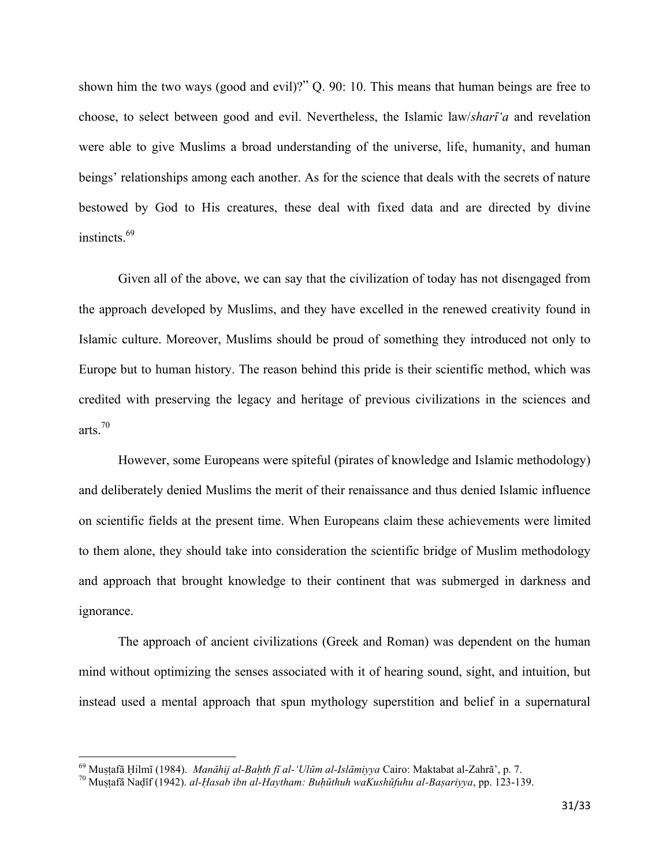shown him the two ways (good and evil)?" Q. 90: 10. This means that human beings are free to choose, to select between good and evil. Nevertheless, the Islamic law/*shari<sup>-1</sup>a* and revelation were able to give Muslims a broad understanding of the universe, life, humanity, and human beings' relationships among each another. As for the science that deals with the secrets of nature bestowed by God to His creatures, these deal with fixed data and are directed by divine instincts.<sup>69</sup>

Given all of the above, we can say that the civilization of today has not disengaged from the approach developed by Muslims, and they have excelled in the renewed creativity found in Islamic culture. Moreover, Muslims should be proud of something they introduced not only to Europe but to human history. The reason behind this pride is their scientific method, which was credited with preserving the legacy and heritage of previous civilizations in the sciences and arts.<sup>70</sup>

However, some Europeans were spiteful (pirates of knowledge and Islamic methodology) and deliberately denied Muslims the merit of their renaissance and thus denied Islamic influence on scientific fields at the present time. When Europeans claim these achievements were limited to them alone, they should take into consideration the scientific bridge of Muslim methodology and approach that brought knowledge to their continent that was submerged in darkness and ignorance.

The approach of ancient civilizations (Greek and Roman) was dependent on the human mind without optimizing the senses associated with it of hearing sound, sight, and intuition, but instead used a mental approach that spun mythology superstition and belief in a supernatural

<sup>&</sup>lt;sup>69</sup> Muṣṭafā Ḥilmī (1984). *Manāhij al-Baḥth fī al-'Ulūm al-Islāmiyya* Cairo: Maktabat al-Zahrā', p. 7.

<sup>&</sup>lt;sup>70</sup> Mustafā Nadīf (1942). *al-Hasab ibn al-Haytham: Buhūthuh waKushūfuhu al-Baṣariyya*, pp. 123-139.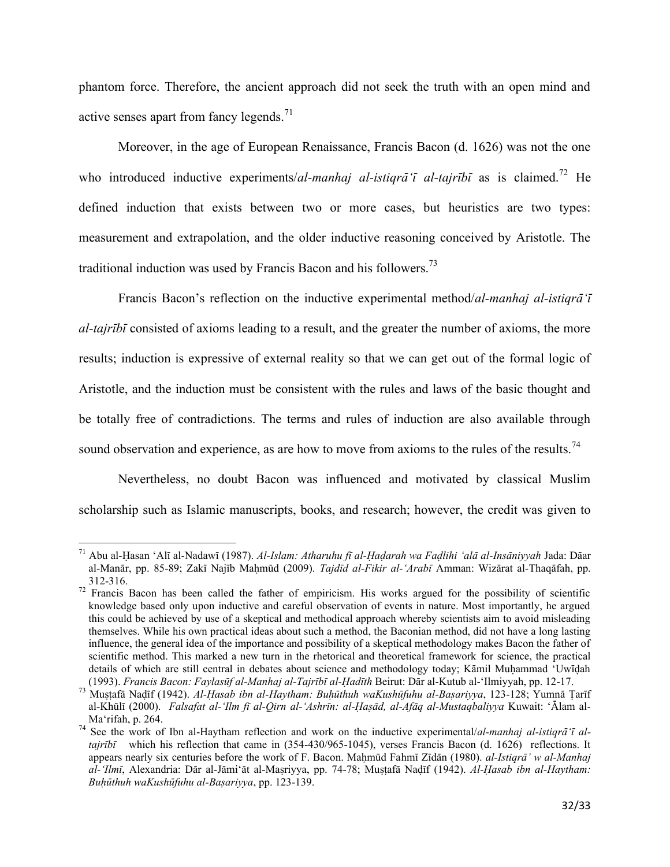phantom force. Therefore, the ancient approach did not seek the truth with an open mind and active senses apart from fancy legends.<sup>71</sup>

Moreover, in the age of European Renaissance, Francis Bacon (d. 1626) was not the one who introduced inductive experiments/*al-manhaj al-istigra<sup>t</sup>i al-tajribi* as is claimed.<sup>72</sup> He defined induction that exists between two or more cases, but heuristics are two types: measurement and extrapolation, and the older inductive reasoning conceived by Aristotle. The traditional induction was used by Francis Bacon and his followers.<sup>73</sup>

Francis Bacon's reflection on the inductive experimental method/al-manhaj al-istigra  $\tilde{\tau}$ al-tajribi consisted of axioms leading to a result, and the greater the number of axioms, the more results; induction is expressive of external reality so that we can get out of the formal logic of Aristotle, and the induction must be consistent with the rules and laws of the basic thought and be totally free of contradictions. The terms and rules of induction are also available through sound observation and experience, as are how to move from axioms to the rules of the results.<sup>74</sup>

Nevertheless, no doubt Bacon was influenced and motivated by classical Muslim scholarship such as Islamic manuscripts, books, and research; however, the credit was given to

<sup>&</sup>lt;sup>71</sup> Abu al-Hasan 'Alī al-Nadawī (1987). Al-Islam: Atharuhu fī al-Hadarah wa Fadlihi 'alā al-Insāniyyah Jada: Dāar al-Manār, pp. 85-89; Zakī Najīb Mahmūd (2009). Tajdīd al-Fikir al-Arabī Amman: Wizārat al-Thaqāfah, pp. 312-316.

<sup>&</sup>lt;sup>72</sup> Francis Bacon has been called the father of empiricism. His works argued for the possibility of scientific knowledge based only upon inductive and careful observation of events in nature. Most importantly, he argued this could be achieved by use of a skeptical and methodical approach whereby scientists aim to avoid misleading themselves. While his own practical ideas about such a method, the Baconian method, did not have a long lasting influence, the general idea of the importance and possibility of a skeptical methodology makes Bacon the father of scientific method. This marked a new turn in the rhetorical and theoretical framework for science, the practical details of which are still central in debates about science and methodology today; Kāmil Muhammad 'Uwīdah (1993). Francis Bacon: Faylasūf al-Manhaj al-Tajrībī al-Hadīth Beirut: Dār al-Kutub al-'Ilmiyyah, pp. 12-17.

<sup>73</sup> Mustafā Nadīf (1942). Al-Hasab ibn al-Haytham: Buhūthuh waKushūfuhu al-Bașariyya, 123-128; Yumnā Țarīf al-Khūlī (2000). Falsafat al-'Ilm fī al-Qirn al-'Ashrīn: al-Hasād, al-Afāq al-Mustagbaliyya Kuwait: 'Ālam al-Ma'rifah, p. 264.

<sup>&</sup>lt;sup>74</sup> See the work of Ibn al-Haytham reflection and work on the inductive experimental/al-manhaj al-istiqra<sup>t</sup>i altajrībī which his reflection that came in (354-430/965-1045), verses Francis Bacon (d. 1626) reflections. It appears nearly six centuries before the work of F. Bacon. Mahmūd Fahmī Zīdān (1980). al-Istigrā' w al-Manhaj al-'Ilmī, Alexandria: Dār al-Jāmi'āt al-Mașriyya, pp. 74-78; Mușțafā Nadīf (1942). Al-Hasab ibn al-Haytham: Buhūthuh waKushūfuhu al-Başariyya, pp. 123-139.